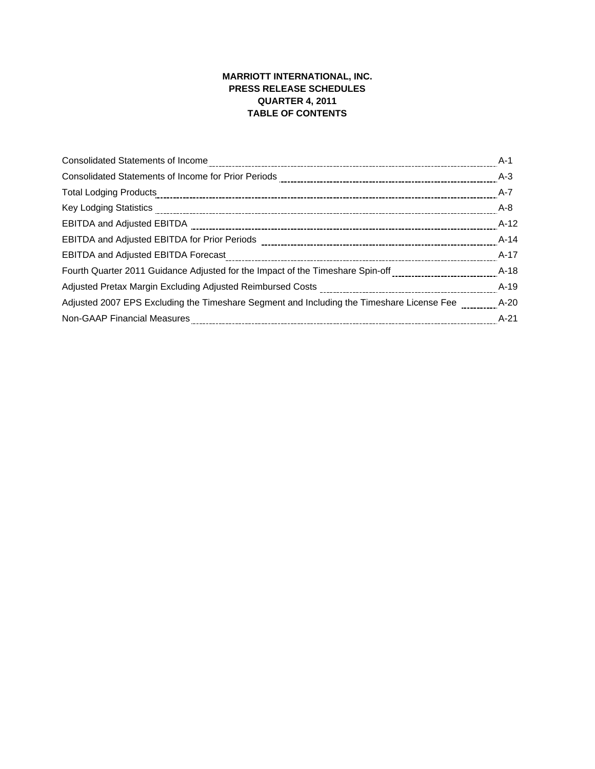# **MARRIOTT INTERNATIONAL, INC. PRESS RELEASE SCHEDULES QUARTER 4, 2011 TABLE OF CONTENTS**

|                                                                                                                                                                                                                                | A-1    |
|--------------------------------------------------------------------------------------------------------------------------------------------------------------------------------------------------------------------------------|--------|
|                                                                                                                                                                                                                                |        |
|                                                                                                                                                                                                                                | $A-7$  |
| Key Lodging Statistics [10011] Art 2010 The Contract Contract Contract Contract Contract Contract Contract Contract Contract Contract Contract Contract Contract Contract Contract Contract Contract Contract Contract Contrac | A-8    |
|                                                                                                                                                                                                                                | $A-12$ |
|                                                                                                                                                                                                                                | $A-14$ |
| EBITDA and Adjusted EBITDA Forecast [111][11] The Case of the Adjustment Case of Adjusted EBITDA and Adjusted EBITDA Forecast [11] The Content Content Content Case of the Case of the Case of the Case of the Case of the Cas | A-17   |
| Fourth Quarter 2011 Guidance Adjusted for the Impact of the Timeshare Spin-off __________________________                                                                                                                      | $A-18$ |
|                                                                                                                                                                                                                                | A-19   |
| Adjusted 2007 EPS Excluding the Timeshare Segment and Including the Timeshare License Fee A-20                                                                                                                                 |        |
| Non-GAAP Financial Measures                                                                                                                                                                                                    | $A-21$ |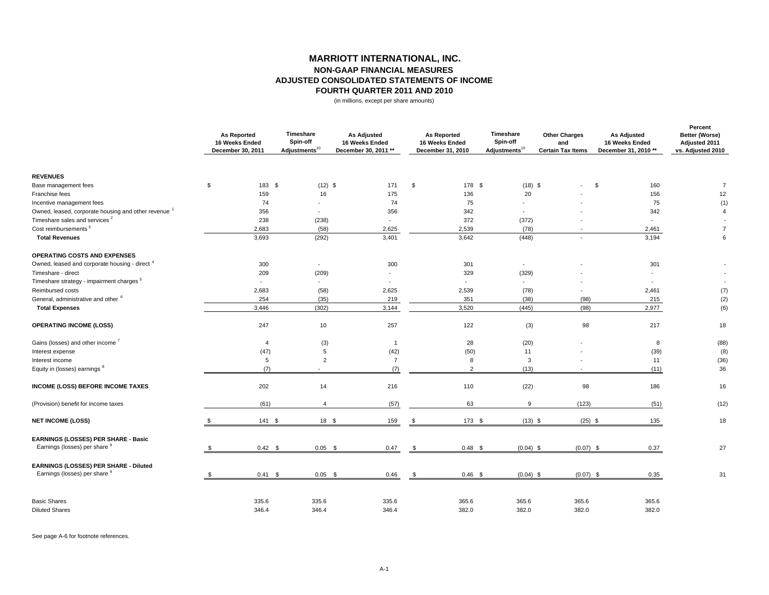### **ADJUSTED CONSOLIDATED STATEMENTS OF INCOMEMARRIOTT INTERNATIONAL, INC. NON-GAAP FINANCIAL MEASURES FOURTH QUARTER 2011 AND 2010**

(in millions, except per share amounts)

|                                                                 | <b>As Reported</b><br>16 Weeks Ended<br>December 30, 2011 | Timeshare<br>Spin-off<br>Adjustments <sup>10</sup> | <b>As Adjusted</b><br>16 Weeks Ended<br>December 30, 2011 ** | <b>As Reported</b><br>16 Weeks Ended<br>December 31, 2010 | Timeshare<br>Spin-off<br>Adjustments <sup>10</sup> | <b>Other Charges</b><br>and<br><b>Certain Tax Items</b> | <b>As Adjusted</b><br>16 Weeks Ended<br>December 31, 2010 ** | Percent<br>Better (Worse)<br>Adjusted 2011<br>vs. Adjusted 2010 |
|-----------------------------------------------------------------|-----------------------------------------------------------|----------------------------------------------------|--------------------------------------------------------------|-----------------------------------------------------------|----------------------------------------------------|---------------------------------------------------------|--------------------------------------------------------------|-----------------------------------------------------------------|
| <b>REVENUES</b>                                                 |                                                           |                                                    |                                                              |                                                           |                                                    |                                                         |                                                              |                                                                 |
| Base management fees                                            | \$<br>183 \$                                              | $(12)$ \$                                          | 171                                                          | \$                                                        | $(18)$ \$<br>178 \$                                | $\sim$                                                  | \$<br>160                                                    | $\overline{7}$                                                  |
| Franchise fees                                                  | 159                                                       | 16                                                 | 175                                                          | 136                                                       | 20                                                 |                                                         | 156                                                          | 12                                                              |
| Incentive management fees                                       | 74                                                        |                                                    | 74                                                           | 75                                                        |                                                    |                                                         | 75                                                           | (1)                                                             |
| Owned, leased, corporate housing and other revenue <sup>1</sup> | 356                                                       | $\sim$                                             | 356                                                          | 342                                                       | $\overline{\phantom{a}}$                           |                                                         | 342                                                          | $\overline{4}$                                                  |
| Timeshare sales and services <sup>2</sup>                       | 238                                                       | (238)                                              | $\overline{\phantom{a}}$                                     | 372                                                       | (372)                                              |                                                         | $\overline{a}$                                               |                                                                 |
| Cost reimbursements <sup>3</sup>                                | 2,683                                                     | (58)                                               | 2,625                                                        | 2,539                                                     | (78)                                               |                                                         | 2,461                                                        | $\overline{7}$                                                  |
| <b>Total Revenues</b>                                           | 3,693                                                     | (292)                                              | 3,401                                                        | 3,642                                                     | (448)                                              |                                                         | 3,194                                                        | 6                                                               |
| OPERATING COSTS AND EXPENSES                                    |                                                           |                                                    |                                                              |                                                           |                                                    |                                                         |                                                              |                                                                 |
| Owned, leased and corporate housing - direct 4                  | 300                                                       | $\sim$                                             | 300                                                          | 301                                                       | $\overline{\phantom{a}}$                           |                                                         | 301                                                          |                                                                 |
| Timeshare - direct                                              | 209                                                       | (209)                                              | $\overline{\phantom{a}}$                                     | 329                                                       | (329)                                              |                                                         |                                                              |                                                                 |
| Timeshare strategy - impairment charges <sup>5</sup>            |                                                           | $\sim$                                             |                                                              |                                                           | $\blacksquare$                                     |                                                         |                                                              |                                                                 |
| Reimbursed costs                                                | 2,683                                                     | (58)                                               | 2,625                                                        | 2,539                                                     | (78)                                               | $\overline{\phantom{a}}$                                | 2,461                                                        | (7)                                                             |
| General, administrative and other <sup>6</sup>                  | 254                                                       | (35)                                               | 219                                                          | 351                                                       | (38)                                               | (98)                                                    | 215                                                          | (2)                                                             |
| <b>Total Expenses</b>                                           | 3,446                                                     | (302)                                              | 3,144                                                        | 3,520                                                     | (445)                                              | (98)                                                    | 2,977                                                        | (6)                                                             |
| <b>OPERATING INCOME (LOSS)</b>                                  | 247                                                       | 10                                                 | 257                                                          | 122                                                       | (3)                                                | 98                                                      | 217                                                          | 18                                                              |
| Gains (losses) and other income <sup>7</sup>                    | $\overline{4}$                                            | (3)                                                | $\overline{1}$                                               | 28                                                        | (20)                                               |                                                         | 8                                                            | (88)                                                            |
| Interest expense                                                | (47)                                                      | $\,$ 5 $\,$                                        | (42)                                                         | (50)                                                      | 11                                                 |                                                         | (39)                                                         | (8)                                                             |
| Interest income                                                 | 5                                                         | $\overline{2}$                                     | $\overline{7}$                                               | 8                                                         | 3                                                  |                                                         | 11                                                           | (36)                                                            |
| Equity in (losses) earnings 8                                   | (7)                                                       |                                                    | (7)                                                          | 2                                                         | (13)                                               |                                                         | (11)                                                         | 36                                                              |
| <b>INCOME (LOSS) BEFORE INCOME TAXES</b>                        | 202                                                       | 14                                                 | 216                                                          | 110                                                       | (22)                                               | 98                                                      | 186                                                          | 16                                                              |
| (Provision) benefit for income taxes                            | (61)                                                      | $\overline{4}$                                     | (57)                                                         | 63                                                        | 9                                                  | (123)                                                   | (51)                                                         | (12)                                                            |
| <b>NET INCOME (LOSS)</b>                                        | 141S                                                      | 18 \$                                              | 159                                                          | \$                                                        | 173 \$<br>$(13)$ \$                                | $(25)$ \$                                               | 135                                                          | 18                                                              |
| EARNINGS (LOSSES) PER SHARE - Basic                             |                                                           |                                                    |                                                              |                                                           |                                                    |                                                         |                                                              |                                                                 |
| Earnings (losses) per share 9                                   | $0.42$ \$                                                 | $0.05$ \$                                          | 0.47                                                         | $0.48$ \$<br>\$                                           | $(0.04)$ \$                                        | $(0.07)$ \$                                             | 0.37                                                         | 27                                                              |
| EARNINGS (LOSSES) PER SHARE - Diluted                           |                                                           |                                                    |                                                              |                                                           |                                                    |                                                         |                                                              |                                                                 |
| Earnings (losses) per share 9                                   | $0.41 \quad$ \$                                           | $0.05$ \$                                          | 0.46                                                         | $0.46$ \$<br>\$                                           | $(0.04)$ \$                                        | $(0.07)$ \$                                             | 0.35                                                         | 31                                                              |
| <b>Basic Shares</b>                                             | 335.6                                                     | 335.6                                              | 335.6                                                        | 365.6                                                     | 365.6                                              | 365.6                                                   | 365.6                                                        |                                                                 |
| <b>Diluted Shares</b>                                           | 346.4                                                     | 346.4                                              | 346.4                                                        | 382.0                                                     | 382.0                                              | 382.0                                                   | 382.0                                                        |                                                                 |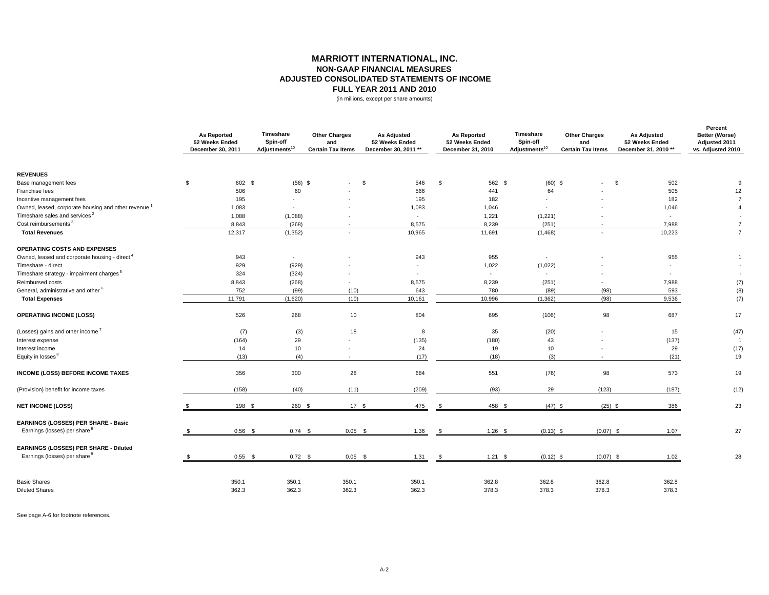### **MARRIOTT INTERNATIONAL, INC. NON-GAAP FINANCIAL MEASURES ADJUSTED CONSOLIDATED STATEMENTS OF INCOMEFULL YEAR 2011 AND 2010**

(in millions, except per share amounts)

|                                                                      | <b>As Reported</b><br>52 Weeks Ended<br>December 30, 2011 | Timeshare<br>Spin-off<br>Adjustments <sup>10</sup> | <b>Other Charges</b><br>and<br><b>Certain Tax Items</b> | <b>As Adjusted</b><br>52 Weeks Ended<br>December 30, 2011 ** |      | <b>As Reported</b><br>52 Weeks Ended<br>December 31, 2010 | Timeshare<br>Spin-off<br>Adjustments <sup>10</sup> | <b>Other Charges</b><br>and<br><b>Certain Tax Items</b> | <b>As Adjusted</b><br>52 Weeks Ended<br>December 31, 2010 ** | Percent<br>Better (Worse)<br>Adjusted 2011<br>vs. Adjusted 2010 |
|----------------------------------------------------------------------|-----------------------------------------------------------|----------------------------------------------------|---------------------------------------------------------|--------------------------------------------------------------|------|-----------------------------------------------------------|----------------------------------------------------|---------------------------------------------------------|--------------------------------------------------------------|-----------------------------------------------------------------|
| <b>REVENUES</b>                                                      |                                                           |                                                    |                                                         |                                                              |      |                                                           |                                                    |                                                         |                                                              |                                                                 |
| Base management fees                                                 | \$<br>602 \$                                              | $(56)$ \$                                          | $\sim$                                                  | 546<br>\$                                                    | \$   | 562 \$                                                    | $(60)$ \$                                          | $\sim$                                                  | \$<br>502                                                    | 9                                                               |
| Franchise fees                                                       | 506                                                       | 60                                                 |                                                         | 566                                                          |      | 441                                                       | 64                                                 |                                                         | 505                                                          | 12                                                              |
| Incentive management fees                                            | 195                                                       |                                                    |                                                         | 195                                                          |      | 182                                                       |                                                    |                                                         | 182                                                          | $\overline{7}$                                                  |
| Owned, leased, corporate housing and other revenue <sup>1</sup>      | 1,083                                                     | $\overline{\phantom{a}}$                           |                                                         | 1,083                                                        |      | 1,046                                                     | $\overline{\phantom{a}}$                           |                                                         | 1,046                                                        | $\overline{4}$                                                  |
| Timeshare sales and services <sup>2</sup>                            | 1,088                                                     | (1,088)                                            |                                                         | $\overline{\phantom{a}}$                                     |      | 1,221                                                     | (1,221)                                            |                                                         | $\sim$                                                       |                                                                 |
| Cost reimbursements <sup>3</sup>                                     | 8,843                                                     | (268)                                              | $\overline{\phantom{a}}$                                | 8,575                                                        |      | 8,239                                                     | (251)                                              | $\sim$                                                  | 7,988                                                        | $\overline{7}$                                                  |
| <b>Total Revenues</b>                                                | 12,317                                                    | (1, 352)                                           | $\sim$                                                  | 10,965                                                       |      | 11,691                                                    | (1,468)                                            | $\sim$                                                  | 10,223                                                       | $\overline{7}$                                                  |
| <b>OPERATING COSTS AND EXPENSES</b>                                  |                                                           |                                                    |                                                         |                                                              |      |                                                           |                                                    |                                                         |                                                              |                                                                 |
| Owned, leased and corporate housing - direct <sup>4</sup>            | 943                                                       | $\sim$                                             |                                                         | 943                                                          |      | 955                                                       | $\sim$                                             |                                                         | 955                                                          |                                                                 |
| Timeshare - direct                                                   | 929                                                       | (929)                                              |                                                         | $\sim$                                                       |      | 1,022                                                     | (1,022)                                            |                                                         |                                                              |                                                                 |
| Timeshare strategy - impairment charges <sup>5</sup>                 | 324                                                       | (324)                                              |                                                         | $\overline{\phantom{a}}$                                     |      | ÷.                                                        | $\sim$                                             |                                                         | $\overline{a}$                                               |                                                                 |
| Reimbursed costs                                                     | 8,843                                                     | (268)                                              | $\overline{\phantom{a}}$                                | 8,575                                                        |      | 8,239                                                     | (251)                                              | $\sim$                                                  | 7,988                                                        | (7)                                                             |
| General, administrative and other <sup>6</sup>                       | 752                                                       | (99)                                               | (10)                                                    | 643                                                          |      | 780                                                       | (89)                                               | (98)                                                    | 593                                                          | (8)                                                             |
| <b>Total Expenses</b>                                                | 11,791                                                    | (1,620)                                            | (10)                                                    | 10,161                                                       |      | 10,996                                                    | (1, 362)                                           | (98)                                                    | 9,536                                                        | (7)                                                             |
| <b>OPERATING INCOME (LOSS)</b>                                       | 526                                                       | 268                                                | 10                                                      | 804                                                          |      | 695                                                       | (106)                                              | 98                                                      | 687                                                          | 17                                                              |
| (Losses) gains and other income <sup>7</sup>                         | (7)                                                       | (3)                                                | 18                                                      | 8                                                            |      | 35                                                        | (20)                                               |                                                         | 15                                                           | (47)                                                            |
| Interest expense                                                     | (164)                                                     | 29                                                 |                                                         | (135)                                                        |      | (180)                                                     | 43                                                 |                                                         | (137)                                                        | $\overline{1}$                                                  |
| Interest income                                                      | 14                                                        | 10                                                 | $\sim$                                                  | 24                                                           |      | 19                                                        | 10                                                 |                                                         | 29                                                           | (17)                                                            |
| Equity in losses <sup>8</sup>                                        | (13)                                                      | (4)                                                | $\overline{\phantom{a}}$                                | (17)                                                         |      | (18)                                                      | (3)                                                | $\sim$                                                  | (21)                                                         | 19                                                              |
| <b>INCOME (LOSS) BEFORE INCOME TAXES</b>                             | 356                                                       | 300                                                | 28                                                      | 684                                                          |      | 551                                                       | (76)                                               | 98                                                      | 573                                                          | 19                                                              |
| (Provision) benefit for income taxes                                 | (158)                                                     | (40)                                               | (11)                                                    | (209)                                                        |      | (93)                                                      | 29                                                 | (123)                                                   | (187)                                                        | (12)                                                            |
| <b>NET INCOME (LOSS)</b>                                             | 198 \$                                                    | 260 \$                                             | 17S                                                     | 475                                                          | -\$  | 458 \$                                                    | $(47)$ \$                                          | $(25)$ \$                                               | 386                                                          | 23                                                              |
| EARNINGS (LOSSES) PER SHARE - Basic<br>Earnings (losses) per share 9 | $0.56$ \$                                                 | $0.74$ \$                                          | $0.05$ \$                                               | 1.36                                                         | - \$ | $1.26$ \$                                                 | $(0.13)$ \$                                        | $(0.07)$ \$                                             | 1.07                                                         | 27                                                              |
|                                                                      |                                                           |                                                    |                                                         |                                                              |      |                                                           |                                                    |                                                         |                                                              |                                                                 |
| EARNINGS (LOSSES) PER SHARE - Diluted                                |                                                           |                                                    |                                                         |                                                              |      |                                                           |                                                    |                                                         |                                                              |                                                                 |
| Earnings (losses) per share 9                                        | $0.55$ \$                                                 | $0.72$ \$                                          | $0.05$ \$                                               | 1.31                                                         | - \$ | $1.21$ \$                                                 | $(0.12)$ \$                                        | $(0.07)$ \$                                             | 1.02                                                         | 28                                                              |
| <b>Basic Shares</b>                                                  | 350.1                                                     | 350.1                                              | 350.1                                                   | 350.1                                                        |      | 362.8                                                     | 362.8                                              | 362.8                                                   | 362.8                                                        |                                                                 |
| <b>Diluted Shares</b>                                                | 362.3                                                     | 362.3                                              | 362.3                                                   | 362.3                                                        |      | 378.3                                                     | 378.3                                              | 378.3                                                   | 378.3                                                        |                                                                 |
|                                                                      |                                                           |                                                    |                                                         |                                                              |      |                                                           |                                                    |                                                         |                                                              |                                                                 |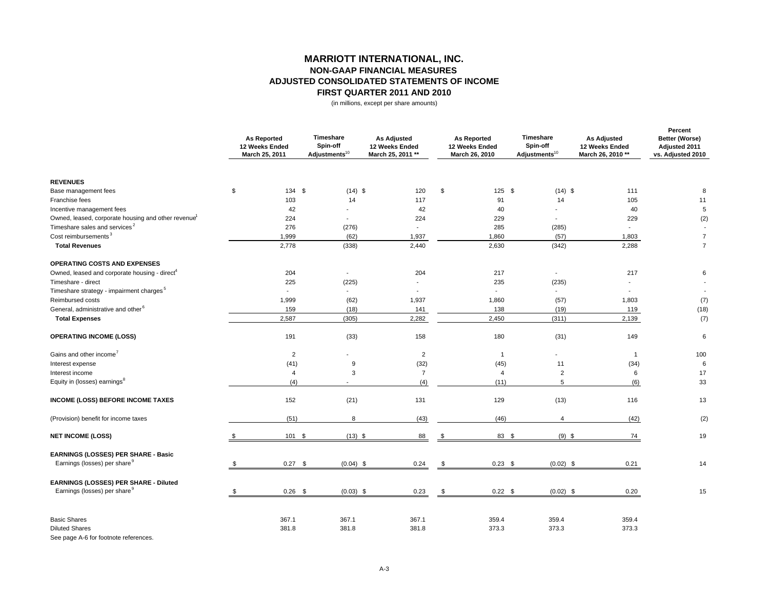# **MARRIOTT INTERNATIONAL, INC. NON-GAAP FINANCIAL MEASURES ADJUSTED CONSOLIDATED STATEMENTS OF INCOME FIRST QUARTER 2011 AND 2010**

(in millions, except per share amounts)

|                                                                 | <b>As Reported</b><br>12 Weeks Ended<br>March 25, 2011 | Timeshare<br>Spin-off<br>Adjustments $^{10}$ | <b>As Adjusted</b><br>12 Weeks Ended<br>March 25, 2011 ** |     | <b>As Reported</b><br>12 Weeks Ended<br>March 26, 2010 | Timeshare<br>Spin-off<br>Adjustments <sup>10</sup> | <b>As Adjusted</b><br>12 Weeks Ended<br>March 26, 2010 ** | Percent<br>Better (Worse)<br>Adjusted 2011<br>vs. Adjusted 2010 |
|-----------------------------------------------------------------|--------------------------------------------------------|----------------------------------------------|-----------------------------------------------------------|-----|--------------------------------------------------------|----------------------------------------------------|-----------------------------------------------------------|-----------------------------------------------------------------|
| <b>REVENUES</b>                                                 |                                                        |                                              |                                                           |     |                                                        |                                                    |                                                           |                                                                 |
| Base management fees                                            | \$<br>134 \$                                           | $(14)$ \$                                    | 120                                                       | \$  | $125$ \$                                               | $(14)$ \$                                          | 111                                                       | 8                                                               |
| Franchise fees                                                  | 103                                                    | 14                                           | 117                                                       |     | 91                                                     | 14                                                 | 105                                                       | 11                                                              |
| Incentive management fees                                       | 42                                                     |                                              | 42                                                        |     | 40                                                     | $\overline{a}$                                     | 40                                                        | $\,$ 5 $\,$                                                     |
| Owned, leased, corporate housing and other revenue <sup>1</sup> | 224                                                    | $\overline{\phantom{a}}$                     | 224                                                       |     | 229                                                    | $\blacksquare$                                     | 229                                                       | (2)                                                             |
| Timeshare sales and services <sup>2</sup>                       | 276                                                    | (276)                                        | $\overline{a}$                                            |     | 285                                                    | (285)                                              | $\sim$                                                    |                                                                 |
| Cost reimbursements <sup>3</sup>                                | 1,999                                                  | (62)                                         | 1,937                                                     |     | 1,860                                                  | (57)                                               | 1,803                                                     | $\overline{7}$                                                  |
| <b>Total Revenues</b>                                           | 2,778                                                  | (338)                                        | 2,440                                                     |     | 2,630                                                  | (342)                                              | 2,288                                                     | $\overline{7}$                                                  |
| OPERATING COSTS AND EXPENSES                                    |                                                        |                                              |                                                           |     |                                                        |                                                    |                                                           |                                                                 |
| Owned, leased and corporate housing - direct <sup>4</sup>       | 204                                                    | $\blacksquare$                               | 204                                                       |     | 217                                                    | $\overline{\phantom{a}}$                           | 217                                                       | 6                                                               |
| Timeshare - direct                                              | 225                                                    | (225)                                        | $\overline{a}$                                            |     | 235                                                    | (235)                                              | L,                                                        |                                                                 |
| Timeshare strategy - impairment charges <sup>5</sup>            | $\overline{a}$                                         | $\sim$                                       |                                                           |     | $\sim$                                                 | $\sim$                                             |                                                           | $\overline{\phantom{a}}$                                        |
| Reimbursed costs                                                | 1,999                                                  | (62)                                         | 1,937                                                     |     | 1,860                                                  | (57)                                               | 1,803                                                     | (7)                                                             |
| General, administrative and other <sup>6</sup>                  | 159                                                    | (18)                                         | 141                                                       |     | 138                                                    | (19)                                               | 119                                                       | (18)                                                            |
| <b>Total Expenses</b>                                           | 2,587                                                  | (305)                                        | 2,282                                                     |     | 2,450                                                  | (311)                                              | 2,139                                                     | (7)                                                             |
| <b>OPERATING INCOME (LOSS)</b>                                  | 191                                                    | (33)                                         | 158                                                       |     | 180                                                    | (31)                                               | 149                                                       | $\,6\,$                                                         |
| Gains and other income <sup>7</sup>                             | $\overline{2}$                                         | $\sim$                                       | $\overline{2}$                                            |     | $\mathbf{1}$                                           |                                                    | $\overline{1}$                                            | 100                                                             |
| Interest expense                                                | (41)                                                   | 9                                            | (32)                                                      |     | (45)                                                   | 11                                                 | (34)                                                      | 6                                                               |
| Interest income                                                 | $\overline{4}$                                         | 3                                            | $\overline{7}$                                            |     | $\overline{4}$                                         | $\overline{2}$                                     | 6                                                         | 17                                                              |
| Equity in (losses) earnings <sup>8</sup>                        | (4)                                                    | $\blacksquare$                               | (4)                                                       |     | (11)                                                   | 5                                                  | (6)                                                       | 33                                                              |
| <b>INCOME (LOSS) BEFORE INCOME TAXES</b>                        | 152                                                    | (21)                                         | 131                                                       |     | 129                                                    | (13)                                               | 116                                                       | 13                                                              |
| (Provision) benefit for income taxes                            | (51)                                                   | 8                                            | (43)                                                      |     | (46)                                                   | $\overline{4}$                                     | (42)                                                      | (2)                                                             |
| <b>NET INCOME (LOSS)</b>                                        | 101 \$                                                 | $(13)$ \$                                    | 88                                                        | . ፍ | 83 \$                                                  | $(9)$ \$                                           | 74                                                        | 19                                                              |
| EARNINGS (LOSSES) PER SHARE - Basic                             |                                                        |                                              |                                                           |     |                                                        |                                                    |                                                           |                                                                 |
| Earnings (losses) per share <sup>9</sup>                        | $0.27$ \$                                              | $(0.04)$ \$                                  | 0.24                                                      | \$  | $0.23$ \$                                              | $(0.02)$ \$                                        | 0.21                                                      | 14                                                              |
| EARNINGS (LOSSES) PER SHARE - Diluted                           |                                                        |                                              |                                                           |     |                                                        |                                                    |                                                           |                                                                 |
| Earnings (losses) per share <sup>9</sup>                        | \$<br>$0.26$ \$                                        | $(0.03)$ \$                                  | 0.23                                                      | \$  | $0.22$ \$                                              | $(0.02)$ \$                                        | 0.20                                                      | 15                                                              |
| <b>Basic Shares</b>                                             | 367.1                                                  | 367.1                                        | 367.1                                                     |     | 359.4                                                  | 359.4                                              | 359.4                                                     |                                                                 |
| <b>Diluted Shares</b>                                           | 381.8                                                  | 381.8                                        | 381.8                                                     |     | 373.3                                                  | 373.3                                              | 373.3                                                     |                                                                 |
| $\sim$                                                          |                                                        |                                              |                                                           |     |                                                        |                                                    |                                                           |                                                                 |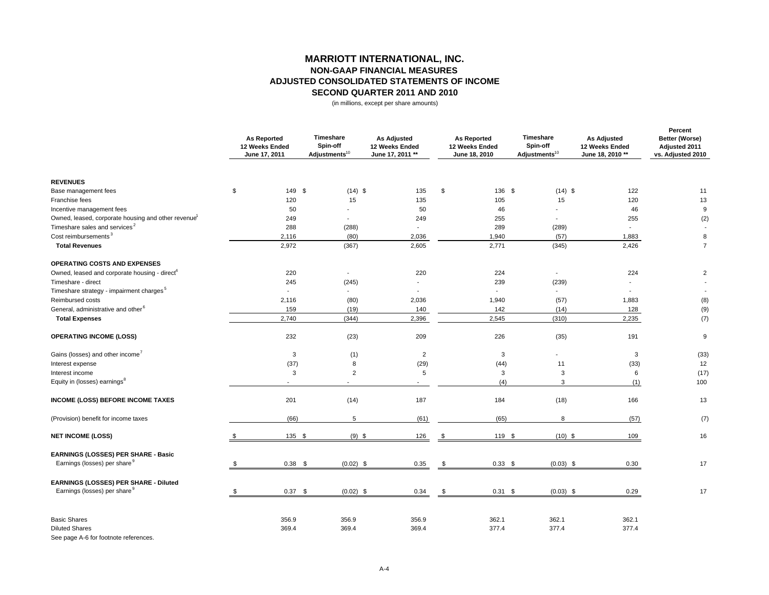# **MARRIOTT INTERNATIONAL, INC. NON-GAAP FINANCIAL MEASURES ADJUSTED CONSOLIDATED STATEMENTS OF INCOMESECOND QUARTER 2011 AND 2010**

(in millions, except per share amounts)

|                                                                 | <b>As Reported</b><br>12 Weeks Ended<br>June 17, 2011 | Timeshare<br>Spin-off<br>Adjustments <sup>10</sup> | <b>As Adjusted</b><br>12 Weeks Ended<br>June 17, 2011 ** |     | <b>As Reported</b><br>12 Weeks Ended<br>June 18, 2010 | Timeshare<br>Spin-off<br>Adjustments <sup>10</sup> | <b>As Adjusted</b><br>12 Weeks Ended<br>June 18, 2010 ** | Percent<br>Better (Worse)<br>Adjusted 2011<br>vs. Adjusted 2010 |
|-----------------------------------------------------------------|-------------------------------------------------------|----------------------------------------------------|----------------------------------------------------------|-----|-------------------------------------------------------|----------------------------------------------------|----------------------------------------------------------|-----------------------------------------------------------------|
| <b>REVENUES</b>                                                 |                                                       |                                                    |                                                          |     |                                                       |                                                    |                                                          |                                                                 |
| Base management fees                                            | \$<br>149 \$                                          | $(14)$ \$                                          | 135                                                      | \$  | 136 \$                                                | $(14)$ \$                                          | 122                                                      | 11                                                              |
| Franchise fees                                                  | 120                                                   | 15                                                 | 135                                                      |     | 105                                                   | 15                                                 | 120                                                      | 13                                                              |
| Incentive management fees                                       | 50                                                    |                                                    | 50                                                       |     | 46                                                    | $\overline{a}$                                     | 46                                                       | 9                                                               |
| Owned, leased, corporate housing and other revenue <sup>1</sup> | 249                                                   |                                                    | 249                                                      |     | 255                                                   |                                                    | 255                                                      | (2)                                                             |
| Timeshare sales and services <sup>2</sup>                       | 288                                                   | (288)                                              | $\overline{a}$                                           |     | 289                                                   | (289)                                              | $\mathbf{r}$                                             |                                                                 |
| Cost reimbursements <sup>3</sup>                                | 2,116                                                 | (80)                                               | 2,036                                                    |     | 1,940                                                 | (57)                                               | 1,883                                                    | 8                                                               |
| <b>Total Revenues</b>                                           | 2,972                                                 | (367)                                              | 2,605                                                    |     | 2,771                                                 | (345)                                              | 2,426                                                    | $\overline{7}$                                                  |
| <b>OPERATING COSTS AND EXPENSES</b>                             |                                                       |                                                    |                                                          |     |                                                       |                                                    |                                                          |                                                                 |
| Owned, leased and corporate housing - direct <sup>4</sup>       | 220                                                   | $\overline{\phantom{a}}$                           | 220                                                      |     | 224                                                   |                                                    | 224                                                      | $\overline{2}$                                                  |
| Timeshare - direct                                              | 245                                                   | (245)                                              | $\blacksquare$                                           |     | 239                                                   | (239)                                              | $\blacksquare$                                           |                                                                 |
| Timeshare strategy - impairment charges <sup>5</sup>            | $\overline{\phantom{a}}$                              | $\sim$                                             |                                                          |     | $\overline{\phantom{a}}$                              | $\sim$                                             |                                                          | $\overline{\phantom{a}}$                                        |
| Reimbursed costs                                                | 2,116                                                 | (80)                                               | 2,036                                                    |     | 1,940                                                 | (57)                                               | 1,883                                                    | (8)                                                             |
| General, administrative and other <sup>6</sup>                  | 159                                                   | (19)                                               | 140                                                      |     | 142                                                   | (14)                                               | 128                                                      | (9)                                                             |
| <b>Total Expenses</b>                                           | 2,740                                                 | (344)                                              | 2,396                                                    |     | 2,545                                                 | (310)                                              | 2,235                                                    | (7)                                                             |
| <b>OPERATING INCOME (LOSS)</b>                                  | 232                                                   | (23)                                               | 209                                                      |     | 226                                                   | (35)                                               | 191                                                      | $\boldsymbol{9}$                                                |
| Gains (losses) and other income <sup>7</sup>                    | 3                                                     | (1)                                                | $\overline{2}$                                           |     | 3                                                     |                                                    | 3                                                        | (33)                                                            |
| Interest expense                                                | (37)                                                  | 8                                                  | (29)                                                     |     | (44)                                                  | 11                                                 | (33)                                                     | 12                                                              |
| Interest income                                                 | 3                                                     | $\overline{2}$                                     | 5                                                        |     | 3                                                     | 3                                                  | 6                                                        | (17)                                                            |
| Equity in (losses) earnings <sup>8</sup>                        |                                                       |                                                    | $\overline{\phantom{a}}$                                 |     | (4)                                                   | 3                                                  | (1)                                                      | 100                                                             |
| INCOME (LOSS) BEFORE INCOME TAXES                               | 201                                                   | (14)                                               | 187                                                      |     | 184                                                   | (18)                                               | 166                                                      | 13                                                              |
| (Provision) benefit for income taxes                            | (66)                                                  | 5                                                  | (61)                                                     |     | (65)                                                  | 8                                                  | (57)                                                     | (7)                                                             |
| <b>NET INCOME (LOSS)</b>                                        | 135 \$                                                | $(9)$ \$                                           | 126                                                      | \$  | 119 \$                                                | $(10)$ \$                                          | 109                                                      | 16                                                              |
| EARNINGS (LOSSES) PER SHARE - Basic                             |                                                       |                                                    |                                                          |     |                                                       |                                                    |                                                          |                                                                 |
| Earnings (losses) per share <sup>9</sup>                        | 0.38 <sup>5</sup>                                     | $(0.02)$ \$                                        | 0.35                                                     |     | $0.33$ \$                                             | $(0.03)$ \$                                        | 0.30                                                     | 17                                                              |
| EARNINGS (LOSSES) PER SHARE - Diluted                           |                                                       |                                                    |                                                          |     |                                                       |                                                    |                                                          |                                                                 |
| Earnings (losses) per share <sup>9</sup>                        | $0.37$ \$                                             | $(0.02)$ \$                                        | 0.34                                                     | . ፍ | $0.31$ \$                                             | $(0.03)$ \$                                        | 0.29                                                     | 17                                                              |
| <b>Basic Shares</b>                                             | 356.9                                                 | 356.9                                              | 356.9                                                    |     | 362.1                                                 | 362.1                                              | 362.1                                                    |                                                                 |
| <b>Diluted Shares</b><br>See page A-6 for footnote references.  | 369.4                                                 | 369.4                                              | 369.4                                                    |     | 377.4                                                 | 377.4                                              | 377.4                                                    |                                                                 |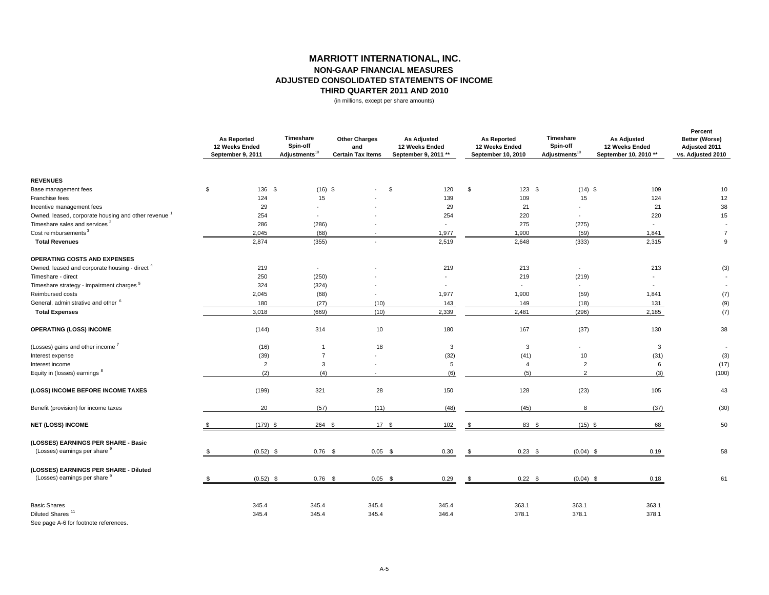### **MARRIOTT INTERNATIONAL, INC. NON-GAAP FINANCIAL MEASURES ADJUSTED CONSOLIDATED STATEMENTS OF INCOMETHIRD QUARTER 2011 AND 2010**

(in millions, except per share amounts)

|                                                                      |    | <b>As Reported</b><br>12 Weeks Ended<br>September 9, 2011 | Timeshare<br>Spin-off<br>Adjustments <sup>10</sup> | <b>Other Charges</b><br>and<br><b>Certain Tax Items</b> | <b>As Adjusted</b><br>12 Weeks Ended<br>September 9, 2011 ** | <b>As Reported</b><br>12 Weeks Ended<br>September 10, 2010 | Timeshare<br>Spin-off<br>Adjustments <sup>10</sup> | <b>As Adjusted</b><br>12 Weeks Ended<br>September 10, 2010 ** | Percent<br>Better (Worse)<br>Adjusted 2011<br>vs. Adjusted 2010 |
|----------------------------------------------------------------------|----|-----------------------------------------------------------|----------------------------------------------------|---------------------------------------------------------|--------------------------------------------------------------|------------------------------------------------------------|----------------------------------------------------|---------------------------------------------------------------|-----------------------------------------------------------------|
| <b>REVENUES</b>                                                      |    |                                                           |                                                    |                                                         |                                                              |                                                            |                                                    |                                                               |                                                                 |
| Base management fees                                                 | \$ | 136 \$                                                    | $(16)$ \$                                          | $\overline{a}$                                          | \$<br>120                                                    | \$<br>$123$ \$                                             | $(14)$ \$                                          | 109                                                           | 10                                                              |
| Franchise fees                                                       |    | 124                                                       | 15                                                 |                                                         | 139                                                          | 109                                                        | 15                                                 | 124                                                           | 12                                                              |
| Incentive management fees                                            |    | 29                                                        |                                                    |                                                         | 29                                                           | 21                                                         | $\overline{\phantom{a}}$                           | 21                                                            | 38                                                              |
| Owned, leased, corporate housing and other revenue <sup>1</sup>      |    | 254                                                       | $\overline{\phantom{a}}$                           |                                                         | 254                                                          | 220                                                        | $\blacksquare$                                     | 220                                                           | 15                                                              |
| Timeshare sales and services <sup>2</sup>                            |    | 286                                                       | (286)                                              |                                                         | $\blacksquare$                                               | 275                                                        | (275)                                              | $\overline{\phantom{a}}$                                      |                                                                 |
| Cost reimbursements <sup>3</sup>                                     |    | 2,045                                                     | (68)                                               |                                                         | 1,977                                                        | 1,900                                                      | (59)                                               | 1,841                                                         | $\overline{7}$                                                  |
| <b>Total Revenues</b>                                                |    | 2,874                                                     | (355)                                              | $\overline{a}$                                          | 2,519                                                        | 2,648                                                      | (333)                                              | 2,315                                                         | 9                                                               |
| OPERATING COSTS AND EXPENSES                                         |    |                                                           |                                                    |                                                         |                                                              |                                                            |                                                    |                                                               |                                                                 |
| Owned, leased and corporate housing - direct <sup>4</sup>            |    | 219                                                       | $\sim$                                             |                                                         | 219                                                          | 213                                                        | $\overline{\phantom{a}}$                           | 213                                                           | (3)                                                             |
| Timeshare - direct                                                   |    | 250                                                       | (250)                                              |                                                         | ٠                                                            | 219                                                        | (219)                                              |                                                               | $\overline{\phantom{a}}$                                        |
| Timeshare strategy - impairment charges <sup>5</sup>                 |    | 324                                                       | (324)                                              |                                                         | $\overline{\phantom{a}}$                                     | $\blacksquare$                                             | $\overline{\phantom{a}}$                           |                                                               | $\blacksquare$                                                  |
| Reimbursed costs                                                     |    | 2,045                                                     | (68)                                               | $\blacksquare$                                          | 1,977                                                        | 1,900                                                      | (59)                                               | 1,841                                                         | (7)                                                             |
| General, administrative and other <sup>6</sup>                       |    | 180                                                       | (27)                                               | (10)                                                    | 143                                                          | 149                                                        | (18)                                               | 131                                                           | (9)                                                             |
| <b>Total Expenses</b>                                                |    | 3,018                                                     | (669)                                              | (10)                                                    | 2,339                                                        | 2,481                                                      | (296)                                              | 2,185                                                         | (7)                                                             |
| <b>OPERATING (LOSS) INCOME</b>                                       |    | (144)                                                     | 314                                                | 10                                                      | 180                                                          | 167                                                        | (37)                                               | 130                                                           | 38                                                              |
| (Losses) gains and other income <sup>7</sup>                         |    | (16)                                                      | $\mathbf{1}$                                       | 18                                                      | 3                                                            | 3                                                          | ٠                                                  | 3                                                             | $\sim$                                                          |
| Interest expense                                                     |    | (39)                                                      | $\overline{7}$                                     | $\overline{a}$                                          | (32)                                                         | (41)                                                       | 10                                                 | (31)                                                          | (3)                                                             |
| Interest income                                                      |    | $\overline{2}$                                            | 3                                                  |                                                         | 5                                                            | $\overline{4}$                                             | $\overline{2}$                                     | 6                                                             | (17)                                                            |
| Equity in (losses) earnings 8                                        |    | (2)                                                       | (4)                                                | $\sim$                                                  | (6)                                                          | (5)                                                        | $\overline{2}$                                     | (3)                                                           | (100)                                                           |
| (LOSS) INCOME BEFORE INCOME TAXES                                    |    | (199)                                                     | 321                                                | 28                                                      | 150                                                          | 128                                                        | (23)                                               | 105                                                           | 43                                                              |
| Benefit (provision) for income taxes                                 |    | 20                                                        | (57)                                               | (11)                                                    | (48)                                                         | (45)                                                       | 8                                                  | (37)                                                          | (30)                                                            |
| <b>NET (LOSS) INCOME</b>                                             |    | $(179)$ \$                                                | 264 \$                                             | 17S                                                     | 102                                                          | 83 \$<br>\$                                                | $(15)$ \$                                          | 68                                                            | 50                                                              |
| (LOSSES) EARNINGS PER SHARE - Basic<br>(Losses) earnings per share 9 |    | $(0.52)$ \$                                               | $0.76$ \$                                          | $0.05$ \$                                               |                                                              | $0.23$ \$<br>- \$                                          | $(0.04)$ \$                                        |                                                               | 58                                                              |
|                                                                      |    |                                                           |                                                    |                                                         | 0.30                                                         |                                                            |                                                    | 0.19                                                          |                                                                 |
| (LOSSES) EARNINGS PER SHARE - Diluted                                |    |                                                           |                                                    |                                                         |                                                              |                                                            |                                                    |                                                               |                                                                 |
| (Losses) earnings per share 9                                        | S. | $(0.52)$ \$                                               | $0.76$ \$                                          | $0.05$ \$                                               | 0.29                                                         | $0.22$ \$<br>\$                                            | $(0.04)$ \$                                        | 0.18                                                          | 61                                                              |
| <b>Basic Shares</b>                                                  |    | 345.4                                                     | 345.4                                              | 345.4                                                   | 345.4                                                        | 363.1                                                      | 363.1                                              | 363.1                                                         |                                                                 |
| Diluted Shares <sup>11</sup>                                         |    | 345.4                                                     | 345.4                                              | 345.4                                                   | 346.4                                                        | 378.1                                                      | 378.1                                              | 378.1                                                         |                                                                 |
|                                                                      |    |                                                           |                                                    |                                                         |                                                              |                                                            |                                                    |                                                               |                                                                 |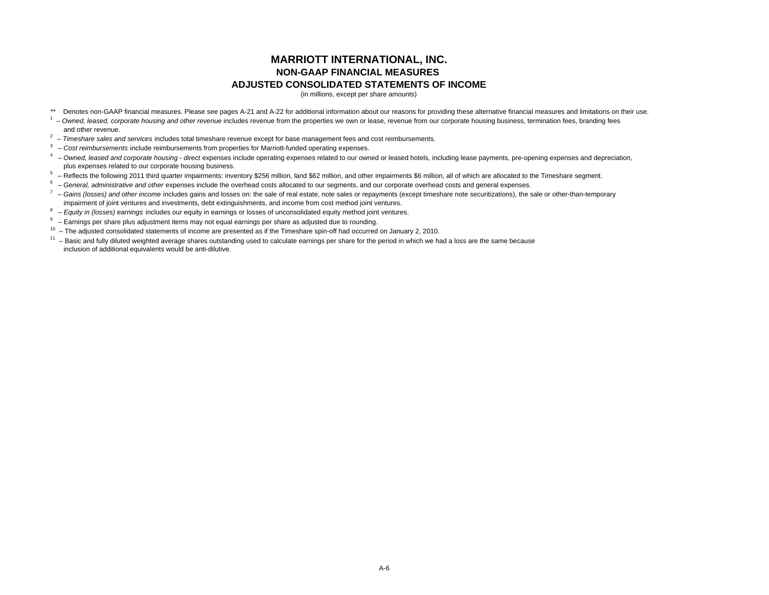# **MARRIOTT INTERNATIONAL, INC. NON-GAAP FINANCIAL MEASURES ADJUSTED CONSOLIDATED STATEMENTS OF INCOME**

(in millions, except per share amounts)

- \*\* Denotes non-GAAP financial measures. Please see pages A-21 and A-22 for additional information about our reasons for providing these alternative financial measures and limitations on their use.
- <sup>1</sup> Owned, leased, corporate housing and other revenue includes revenue from the properties we own or lease, revenue from our corporate housing business, termination fees, branding fees and other revenue.
- 2 – *Timeshare sales and services* includes total timeshare revenue except for base management fees and cost reimbursements.
- 3 – *Cost reimbursements* include reimbursements from properties for Marriott-funded operating expenses.
- <sup>4</sup> Owned, leased and corporate housing direct expenses include operating expenses related to our owned or leased hotels, including lease payments, pre-opening expenses and depreciation, plus expenses related to our corporate housing business.
- $5 -$  Reflects the following 2011 third quarter impairments: inventory \$256 million, land \$62 million, and other impairments \$6 million, all of which are allocated to the Timeshare segment.
- <sup>6</sup> General, administrative and other expenses include the overhead costs allocated to our segments, and our corporate overhead costs and general expenses.
- <sup>7</sup> Gains (losses) and other income includes gains and losses on: the sale of real estate, note sales or repayments (except timeshare note securitizations), the sale or other-than-temporary impairment of joint ventures and investments, debt extinguishments, and income from cost method joint ventures.
- 8 *Equity in (losses) earnings* includes our equity in earnings or losses of unconsolidated equity method joint ventures.
- 9 Earnings per share plus adjustment items may not equal earnings per share as adjusted due to rounding.
- <sup>10</sup> The adjusted consolidated statements of income are presented as if the Timeshare spin-off had occurred on January 2, 2010.
- $11$  Basic and fully diluted weighted average shares outstanding used to calculate earnings per share for the period in which we had a loss are the same because inclusion of additional equivalents would be anti-dilutive.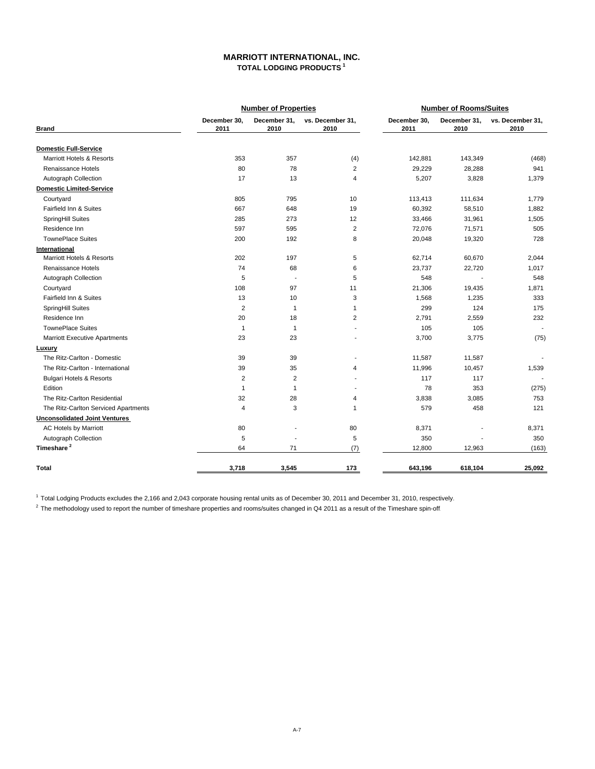## **MARRIOTT INTERNATIONAL, INC. TOTAL LODGING PRODUCTS 1**

|                                      |                      | <b>Number of Properties</b> |                          |                      | <b>Number of Rooms/Suites</b> |                          |
|--------------------------------------|----------------------|-----------------------------|--------------------------|----------------------|-------------------------------|--------------------------|
| <b>Brand</b>                         | December 30,<br>2011 | December 31,<br>2010        | vs. December 31,<br>2010 | December 30,<br>2011 | December 31,<br>2010          | vs. December 31,<br>2010 |
| <b>Domestic Full-Service</b>         |                      |                             |                          |                      |                               |                          |
| <b>Marriott Hotels &amp; Resorts</b> | 353                  | 357                         | (4)                      | 142,881              | 143,349                       | (468)                    |
| Renaissance Hotels                   | 80                   | 78                          | 2                        | 29,229               | 28,288                        | 941                      |
| Autograph Collection                 | 17                   | 13                          | 4                        | 5,207                | 3,828                         | 1,379                    |
| <b>Domestic Limited-Service</b>      |                      |                             |                          |                      |                               |                          |
| Courtyard                            | 805                  | 795                         | 10                       | 113,413              | 111,634                       | 1,779                    |
| Fairfield Inn & Suites               | 667                  | 648                         | 19                       | 60,392               | 58,510                        | 1,882                    |
| SpringHill Suites                    | 285                  | 273                         | 12                       | 33,466               | 31,961                        | 1,505                    |
| Residence Inn                        | 597                  | 595                         | $\overline{2}$           | 72,076               | 71,571                        | 505                      |
| <b>TownePlace Suites</b>             | 200                  | 192                         | 8                        | 20,048               | 19,320                        | 728                      |
| International                        |                      |                             |                          |                      |                               |                          |
| <b>Marriott Hotels &amp; Resorts</b> | 202                  | 197                         | 5                        | 62,714               | 60,670                        | 2,044                    |
| Renaissance Hotels                   | 74                   | 68                          | 6                        | 23,737               | 22,720                        | 1,017                    |
| Autograph Collection                 | 5                    | $\overline{a}$              | 5                        | 548                  |                               | 548                      |
| Courtyard                            | 108                  | 97                          | 11                       | 21,306               | 19,435                        | 1,871                    |
| Fairfield Inn & Suites               | 13                   | 10                          | 3                        | 1,568                | 1,235                         | 333                      |
| SpringHill Suites                    | $\overline{2}$       | $\mathbf{1}$                | $\mathbf{1}$             | 299                  | 124                           | 175                      |
| Residence Inn                        | 20                   | 18                          | $\overline{2}$           | 2,791                | 2,559                         | 232                      |
| <b>TownePlace Suites</b>             | $\mathbf{1}$         | $\mathbf{1}$                | $\blacksquare$           | 105                  | 105                           |                          |
| <b>Marriott Executive Apartments</b> | 23                   | 23                          |                          | 3,700                | 3,775                         | (75)                     |
| Luxury                               |                      |                             |                          |                      |                               |                          |
| The Ritz-Carlton - Domestic          | 39                   | 39                          |                          | 11,587               | 11,587                        |                          |
| The Ritz-Carlton - International     | 39                   | 35                          | 4                        | 11,996               | 10,457                        | 1,539                    |
| <b>Bulgari Hotels &amp; Resorts</b>  | $\overline{2}$       | $\overline{2}$              |                          | 117                  | 117                           |                          |
| Edition                              | $\mathbf{1}$         | 1                           |                          | 78                   | 353                           | (275)                    |
| The Ritz-Carlton Residential         | 32                   | 28                          | 4                        | 3,838                | 3,085                         | 753                      |
| The Ritz-Carlton Serviced Apartments | $\overline{4}$       | 3                           | $\mathbf{1}$             | 579                  | 458                           | 121                      |
| <b>Unconsolidated Joint Ventures</b> |                      |                             |                          |                      |                               |                          |
| <b>AC Hotels by Marriott</b>         | 80                   |                             | 80                       | 8,371                |                               | 8,371                    |
| Autograph Collection                 | 5                    |                             | 5                        | 350                  |                               | 350                      |
| Timeshare <sup>2</sup>               | 64                   | 71                          | (7)                      | 12,800               | 12,963                        | (163)                    |
| <b>Total</b>                         | 3,718                | 3,545                       | 173                      | 643,196              | 618,104                       | 25,092                   |

<sup>1</sup> Total Lodging Products excludes the 2,166 and 2,043 corporate housing rental units as of December 30, 2011 and December 31, 2010, respectively.

 $^2$  The methodology used to report the number of timeshare properties and rooms/suites changed in Q4 2011 as a result of the Timeshare spin-off.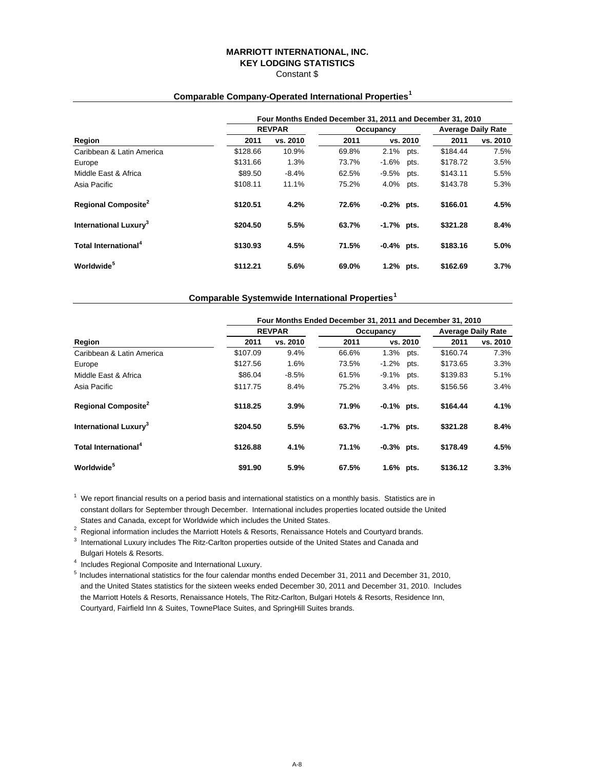### **MARRIOTT INTERNATIONAL, INC. KEY LODGING STATISTICS** Constant \$

# **Four Months Ended December 31, 2011 and December 31, 2010 REVPAR COCUPAR OCCUPACTER Average Daily Rate Region 2011 vs. 2010 2011 vs. 2010 2011 vs. 2010** Caribbean & Latin America \$128.66 10.9% 69.8% 2.1% pts. \$184.44 7.5% Europe \$131.66 1.3% 73.7% -1.6% pts. \$178.72 3.5% Middle East & Africa  $$89.50$  -8.4% 62.5% -9.5% pts. \$143.11 5.5% Asia Pacific \$108.11 11.1% 75.2% 4.0% pts. \$143.78 5.3% **Regional Composite<sup>2</sup> \$120.51 4.2% 72.6% -0.2% pts. \$166.01 4.5% International Luxury3 \$204.50 5.5% 63.7% -1.7% pts. \$321.28 8.4% Total International<sup>4</sup> \$130.93 4.5% 71.5% -0.4% pts. \$183.16 5.0% Worldwide<sup>5</sup> \$112.21 5.6% 69.0% 1.2% pts. \$162.69 3.7%**

## **Comparable Company-Operated International Properties<sup>1</sup>**

### **Comparable Systemwide International Properties<sup>1</sup>**

|                                        |          | Four Months Ended December 31, 2011 and December 31, 2010 |       |               |          |                           | vs. 2010 |  |  |  |  |  |  |
|----------------------------------------|----------|-----------------------------------------------------------|-------|---------------|----------|---------------------------|----------|--|--|--|--|--|--|
|                                        |          | <b>REVPAR</b>                                             |       | Occupancy     |          | <b>Average Daily Rate</b> |          |  |  |  |  |  |  |
| Region                                 | 2011     | vs. 2010                                                  | 2011  |               | vs. 2010 | 2011                      |          |  |  |  |  |  |  |
| Caribbean & Latin America              | \$107.09 | 9.4%                                                      | 66.6% | 1.3%          | pts.     | \$160.74                  | 7.3%     |  |  |  |  |  |  |
| Europe                                 | \$127.56 | 1.6%                                                      | 73.5% | $-1.2%$       | pts.     | \$173.65                  | 3.3%     |  |  |  |  |  |  |
| Middle East & Africa                   | \$86.04  | $-8.5%$                                                   | 61.5% | -9.1%         | pts.     | \$139.83                  | 5.1%     |  |  |  |  |  |  |
| Asia Pacific                           | \$117.75 | 8.4%                                                      | 75.2% | 3.4%          | pts.     | \$156.56                  | 3.4%     |  |  |  |  |  |  |
| <b>Regional Composite</b> <sup>2</sup> | \$118.25 | 3.9%                                                      | 71.9% | $-0.1\%$ pts. |          | \$164.44                  | 4.1%     |  |  |  |  |  |  |
| International Luxury <sup>3</sup>      | \$204.50 | 5.5%                                                      | 63.7% | $-1.7%$ pts.  |          | \$321.28                  | 8.4%     |  |  |  |  |  |  |
| Total International <sup>4</sup>       | \$126.88 | 4.1%                                                      | 71.1% | $-0.3%$ pts.  |          | \$178.49                  | 4.5%     |  |  |  |  |  |  |
| Worldwide <sup>5</sup>                 | \$91.90  | 5.9%                                                      | 67.5% | 1.6% pts.     |          | \$136.12                  | 3.3%     |  |  |  |  |  |  |

 $1$  We report financial results on a period basis and international statistics on a monthly basis. Statistics are in constant dollars for September through December. International includes properties located outside the United States and Canada, except for Worldwide which includes the United States.

<sup>2</sup> Regional information includes the Marriott Hotels & Resorts, Renaissance Hotels and Courtyard brands.<br><sup>3</sup> International Luxury includes The Bitz Carlies preparties eutside of the United States and Conade and

 $3$  International Luxury includes The Ritz-Carlton properties outside of the United States and Canada and Bulgari Hotels & Resorts.

<sup>4</sup> Includes Regional Composite and International Luxury.

5 Includes international statistics for the four calendar months ended December 31, 2011 and December 31, 2010, and the United States statistics for the sixteen weeks ended December 30, 2011 and December 31, 2010. Includes the Marriott Hotels & Resorts, Renaissance Hotels, The Ritz-Carlton, Bulgari Hotels & Resorts, Residence Inn, Courtyard, Fairfield Inn & Suites, TownePlace Suites, and SpringHill Suites brands.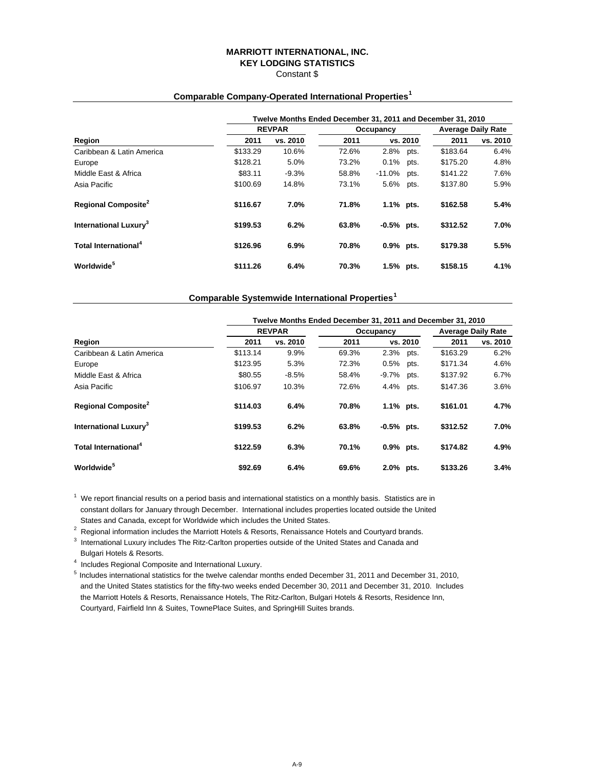### **MARRIOTT INTERNATIONAL, INC. KEY LODGING STATISTICS** Constant \$

# **Twelve Months Ended December 31, 2011 and December 31, 2010 REVPAR COCUPAR OCCUPACTER Average Daily Rate Region 2011 vs. 2010 2011 vs. 2010 2011 vs. 2010** Caribbean & Latin America \$133.29 10.6% 72.6% 2.8% pts. \$183.64 6.4% Europe \$128.21 5.0% 73.2% 0.1% pts. \$175.20 4.8% Middle East & Africa  $$83.11$  -9.3% 58.8% -11.0% pts. \$141.22 7.6% Asia Pacific \$100.69 14.8% 73.1% 5.6% pts. \$137.80 5.9% **Regional Composite<sup>2</sup> \$116.67 7.0% 71.8% 1.1% pts. \$162.58 5.4% International Luxury3 \$199.53 6.2% 63.8% -0.5% pts. \$312.52 7.0% Total International<sup>4</sup> \$126.96 6.9% 70.8% 0.9% pts. \$179.38 5.5% Worldwide<sup>5</sup> \$111.26 6.4% 70.3% 1.5% pts. \$158.15 4.1%**

# **Comparable Company-Operated International Properties<sup>1</sup>**

### **Comparable Systemwide International Properties<sup>1</sup>**

|                                        |          | Twelve Months Ended December 31, 2011 and December 31, 2010 |       |              |          |                           |          |
|----------------------------------------|----------|-------------------------------------------------------------|-------|--------------|----------|---------------------------|----------|
|                                        |          | <b>REVPAR</b>                                               |       | Occupancy    |          | <b>Average Daily Rate</b> |          |
| Region                                 | 2011     | vs. 2010                                                    | 2011  |              | vs. 2010 | 2011                      | vs. 2010 |
| Caribbean & Latin America              | \$113.14 | 9.9%                                                        | 69.3% | 2.3%         | pts.     | \$163.29                  | 6.2%     |
| Europe                                 | \$123.95 | 5.3%                                                        | 72.3% | 0.5%         | pts.     | \$171.34                  | 4.6%     |
| Middle East & Africa                   | \$80.55  | $-8.5%$                                                     | 58.4% | -9.7%        | pts.     | \$137.92                  | 6.7%     |
| Asia Pacific                           | \$106.97 | 10.3%                                                       | 72.6% | 4.4%         | pts.     | \$147.36                  | 3.6%     |
| <b>Regional Composite</b> <sup>2</sup> | \$114.03 | 6.4%                                                        | 70.8% | 1.1% pts.    |          | \$161.01                  | 4.7%     |
| International Luxury <sup>3</sup>      | \$199.53 | 6.2%                                                        | 63.8% | $-0.5%$ pts. |          | \$312.52                  | 7.0%     |
| Total International <sup>4</sup>       | \$122.59 | 6.3%                                                        | 70.1% | 0.9% pts.    |          | \$174.82                  | 4.9%     |
| Worldwide <sup>5</sup>                 | \$92.69  | 6.4%                                                        | 69.6% | 2.0% pts.    |          | \$133.26                  | 3.4%     |

 $1$  We report financial results on a period basis and international statistics on a monthly basis. Statistics are in constant dollars for January through December. International includes properties located outside the United States and Canada, except for Worldwide which includes the United States.

<sup>2</sup> Regional information includes the Marriott Hotels & Resorts, Renaissance Hotels and Courtyard brands.<br><sup>3</sup> International Luxury includes The Bitz Carlies preparties eutside of the United States and Conade and

 $3$  International Luxury includes The Ritz-Carlton properties outside of the United States and Canada and Bulgari Hotels & Resorts.

<sup>4</sup> Includes Regional Composite and International Luxury.

5 Includes international statistics for the twelve calendar months ended December 31, 2011 and December 31, 2010, and the United States statistics for the fifty-two weeks ended December 30, 2011 and December 31, 2010. Includes the Marriott Hotels & Resorts, Renaissance Hotels, The Ritz-Carlton, Bulgari Hotels & Resorts, Residence Inn, Courtyard, Fairfield Inn & Suites, TownePlace Suites, and SpringHill Suites brands.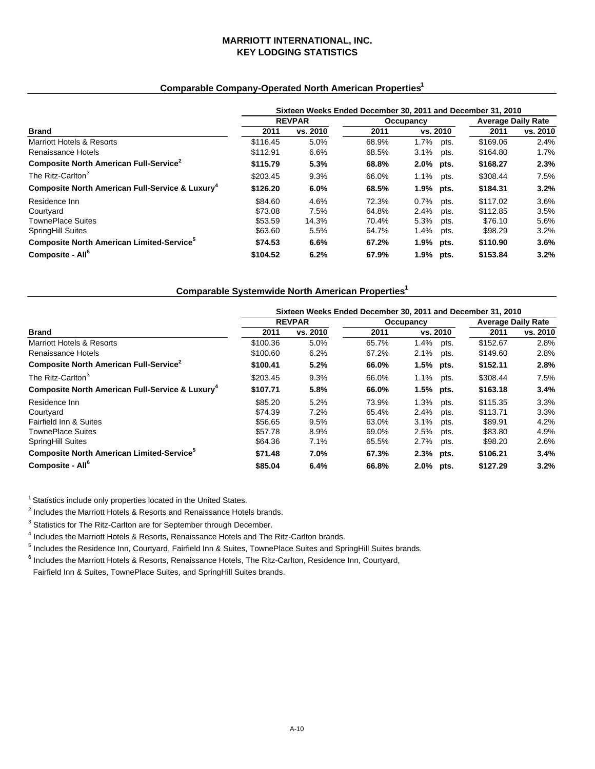# **MARRIOTT INTERNATIONAL, INC. KEY LODGING STATISTICS**

# **Comparable Company-Operated North American Properties1**

|                                                             |          |               |       |           |      | Sixteen Weeks Ended December 30, 2011 and December 31, 2010 |          |  |  |  |  |  |  |
|-------------------------------------------------------------|----------|---------------|-------|-----------|------|-------------------------------------------------------------|----------|--|--|--|--|--|--|
|                                                             |          | <b>REVPAR</b> |       | Occupancy |      | <b>Average Daily Rate</b>                                   |          |  |  |  |  |  |  |
| <b>Brand</b>                                                | 2011     | vs. 2010      | 2011  | vs. 2010  |      | 2011                                                        | vs. 2010 |  |  |  |  |  |  |
| Marriott Hotels & Resorts                                   | \$116.45 | 5.0%          | 68.9% | $1.7\%$   | pts. | \$169.06                                                    | 2.4%     |  |  |  |  |  |  |
| Renaissance Hotels                                          | \$112.91 | 6.6%          | 68.5% | 3.1%      | pts. | \$164.80                                                    | $1.7\%$  |  |  |  |  |  |  |
| Composite North American Full-Service <sup>2</sup>          | \$115.79 | 5.3%          | 68.8% | 2.0% pts. |      | \$168.27                                                    | 2.3%     |  |  |  |  |  |  |
| The Ritz-Carlton <sup>3</sup>                               | \$203.45 | 9.3%          | 66.0% | $1.1\%$   | pts. | \$308.44                                                    | 7.5%     |  |  |  |  |  |  |
| Composite North American Full-Service & Luxury <sup>4</sup> | \$126.20 | 6.0%          | 68.5% | 1.9% pts. |      | \$184.31                                                    | 3.2%     |  |  |  |  |  |  |
| Residence Inn                                               | \$84.60  | 4.6%          | 72.3% | $0.7\%$   | pts. | \$117.02                                                    | 3.6%     |  |  |  |  |  |  |
| Courtyard                                                   | \$73.08  | 7.5%          | 64.8% | 2.4%      | pts. | \$112.85                                                    | 3.5%     |  |  |  |  |  |  |
| <b>TownePlace Suites</b>                                    | \$53.59  | 14.3%         | 70.4% | 5.3%      | pts. | \$76.10                                                     | 5.6%     |  |  |  |  |  |  |
| SpringHill Suites                                           | \$63.60  | 5.5%          | 64.7% | 1.4%      | pts. | \$98.29                                                     | 3.2%     |  |  |  |  |  |  |
| Composite North American Limited-Service <sup>5</sup>       | \$74.53  | 6.6%          | 67.2% | 1.9% pts. |      | \$110.90                                                    | 3.6%     |  |  |  |  |  |  |
| Composite - All <sup>6</sup>                                | \$104.52 | 6.2%          | 67.9% | 1.9% pts. |      | \$153.84                                                    | 3.2%     |  |  |  |  |  |  |

## **Comparable Systemwide North American Properties1**

|                                                             |          |               | Sixteen Weeks Ended December 30, 2011 and December 31, 2010 |           |      |          |                           |  |  |  |  |  |  |
|-------------------------------------------------------------|----------|---------------|-------------------------------------------------------------|-----------|------|----------|---------------------------|--|--|--|--|--|--|
|                                                             |          | <b>REVPAR</b> |                                                             | Occupancy |      |          | <b>Average Daily Rate</b> |  |  |  |  |  |  |
| Brand                                                       | 2011     | vs. 2010      | 2011                                                        | vs. 2010  |      | 2011     | vs. 2010                  |  |  |  |  |  |  |
| <b>Marriott Hotels &amp; Resorts</b>                        | \$100.36 | 5.0%          | 65.7%                                                       | $1.4\%$   | pts. | \$152.67 | 2.8%                      |  |  |  |  |  |  |
| Renaissance Hotels                                          | \$100.60 | 6.2%          | 67.2%                                                       | 2.1%      | pts. | \$149.60 | 2.8%                      |  |  |  |  |  |  |
| Composite North American Full-Service <sup>2</sup>          | \$100.41 | 5.2%          | 66.0%                                                       | 1.5% pts. |      | \$152.11 | 2.8%                      |  |  |  |  |  |  |
| The Ritz-Carlton <sup>3</sup>                               | \$203.45 | 9.3%          | 66.0%                                                       | 1.1%      | pts. | \$308.44 | 7.5%                      |  |  |  |  |  |  |
| Composite North American Full-Service & Luxury <sup>4</sup> | \$107.71 | 5.8%          | 66.0%                                                       | 1.5% pts. |      | \$163.18 | 3.4%                      |  |  |  |  |  |  |
| Residence Inn                                               | \$85.20  | 5.2%          | 73.9%                                                       | 1.3%      | pts. | \$115.35 | 3.3%                      |  |  |  |  |  |  |
| Courtvard                                                   | \$74.39  | 7.2%          | 65.4%                                                       | 2.4%      | pts. | \$113.71 | 3.3%                      |  |  |  |  |  |  |
| Fairfield Inn & Suites                                      | \$56.65  | 9.5%          | 63.0%                                                       | 3.1%      | pts. | \$89.91  | 4.2%                      |  |  |  |  |  |  |
| <b>TownePlace Suites</b>                                    | \$57.78  | 8.9%          | 69.0%                                                       | 2.5%      | pts. | \$83.80  | 4.9%                      |  |  |  |  |  |  |
| <b>SpringHill Suites</b>                                    | \$64.36  | 7.1%          | 65.5%                                                       | $2.7\%$   | pts. | \$98.20  | 2.6%                      |  |  |  |  |  |  |
| Composite North American Limited-Service <sup>5</sup>       | \$71.48  | 7.0%          | 67.3%                                                       | 2.3% pts. |      | \$106.21 | 3.4%                      |  |  |  |  |  |  |
| Composite - All <sup>6</sup>                                | \$85.04  | 6.4%          | 66.8%                                                       | 2.0% pts. |      | \$127.29 | 3.2%                      |  |  |  |  |  |  |

<sup>1</sup> Statistics include only properties located in the United States.

 $2$  Includes the Marriott Hotels & Resorts and Renaissance Hotels brands.

<sup>3</sup> Statistics for The Ritz-Carlton are for September through December.

<sup>4</sup> Includes the Marriott Hotels & Resorts, Renaissance Hotels and The Ritz-Carlton brands.<br><sup>5</sup> Includes the Residence Inc. Courtuard, Feitfield Inc. 8 Suites, Tourselless Suitse and Sar

 $<sup>5</sup>$  Includes the Residence Inn, Courtyard, Fairfield Inn & Suites, TownePlace Suites and SpringHill Suites brands.</sup>

<sup>6</sup> Includes the Marriott Hotels & Resorts, Renaissance Hotels, The Ritz-Carlton, Residence Inn, Courtyard,

Fairfield Inn & Suites, TownePlace Suites, and SpringHill Suites brands.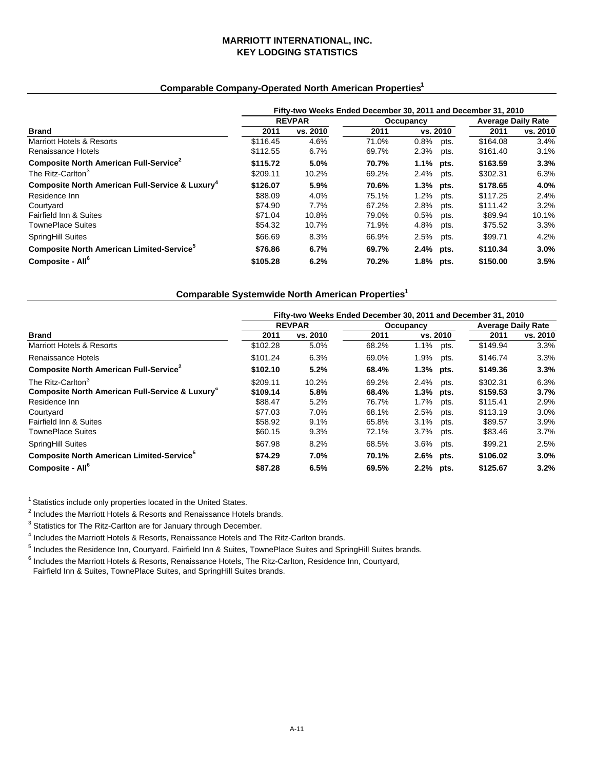# **MARRIOTT INTERNATIONAL, INC. KEY LODGING STATISTICS**

# **Comparable Company-Operated North American Properties1**

|                                                             |          |               |       |           |      | Fifty-two Weeks Ended December 30, 2011 and December 31, 2010 |                           |  |  |  |  |  |
|-------------------------------------------------------------|----------|---------------|-------|-----------|------|---------------------------------------------------------------|---------------------------|--|--|--|--|--|
|                                                             |          | <b>REVPAR</b> |       | Occupancy |      |                                                               | <b>Average Daily Rate</b> |  |  |  |  |  |
| <b>Brand</b>                                                | 2011     | vs. 2010      | 2011  | vs. 2010  |      | 2011                                                          | vs. 2010                  |  |  |  |  |  |
| Marriott Hotels & Resorts                                   | \$116.45 | 4.6%          | 71.0% | 0.8%      | pts. | \$164.08                                                      | 3.4%                      |  |  |  |  |  |
| Renaissance Hotels                                          | \$112.55 | 6.7%          | 69.7% | 2.3%      | pts. | \$161.40                                                      | 3.1%                      |  |  |  |  |  |
| Composite North American Full-Service <sup>2</sup>          | \$115.72 | 5.0%          | 70.7% | 1.1% pts. |      | \$163.59                                                      | 3.3%                      |  |  |  |  |  |
| The Ritz-Carlton <sup>3</sup>                               | \$209.11 | 10.2%         | 69.2% | 2.4%      | pts. | \$302.31                                                      | 6.3%                      |  |  |  |  |  |
| Composite North American Full-Service & Luxury <sup>4</sup> | \$126.07 | 5.9%          | 70.6% | 1.3% pts. |      | \$178.65                                                      | 4.0%                      |  |  |  |  |  |
| Residence Inn                                               | \$88.09  | 4.0%          | 75.1% | 1.2%      | pts. | \$117.25                                                      | 2.4%                      |  |  |  |  |  |
| Courtyard                                                   | \$74.90  | 7.7%          | 67.2% | 2.8%      | pts. | \$111.42                                                      | 3.2%                      |  |  |  |  |  |
| Fairfield Inn & Suites                                      | \$71.04  | 10.8%         | 79.0% | 0.5%      | pts. | \$89.94                                                       | 10.1%                     |  |  |  |  |  |
| <b>TownePlace Suites</b>                                    | \$54.32  | 10.7%         | 71.9% | 4.8%      | pts. | \$75.52                                                       | 3.3%                      |  |  |  |  |  |
| <b>SpringHill Suites</b>                                    | \$66.69  | 8.3%          | 66.9% | 2.5%      | pts. | \$99.71                                                       | 4.2%                      |  |  |  |  |  |
| Composite North American Limited-Service <sup>5</sup>       | \$76.86  | 6.7%          | 69.7% | 2.4% pts. |      | \$110.34                                                      | $3.0\%$                   |  |  |  |  |  |
| Composite - All <sup>6</sup>                                | \$105.28 | 6.2%          | 70.2% | 1.8% pts. |      | \$150.00                                                      | 3.5%                      |  |  |  |  |  |

# **Comparable Systemwide North American Properties1**

|                                                                                              | Fifty-two Weeks Ended December 30, 2011 and December 31, 2010 |               |                |                        |      |                           |              |  |  |
|----------------------------------------------------------------------------------------------|---------------------------------------------------------------|---------------|----------------|------------------------|------|---------------------------|--------------|--|--|
|                                                                                              |                                                               | <b>REVPAR</b> |                | Occupancy              |      | <b>Average Daily Rate</b> |              |  |  |
| <b>Brand</b>                                                                                 | 2011                                                          | vs. 2010      | 2011           | vs. 2010               |      | 2011                      | vs. 2010     |  |  |
| <b>Marriott Hotels &amp; Resorts</b>                                                         | \$102.28                                                      | 5.0%          | 68.2%          | 1.1%                   | pts. | \$149.94                  | 3.3%         |  |  |
| Renaissance Hotels                                                                           | \$101.24                                                      | 6.3%          | 69.0%          | 1.9%                   | pts. | \$146.74                  | 3.3%         |  |  |
| Composite North American Full-Service <sup>2</sup>                                           | \$102.10                                                      | 5.2%          | 68.4%          | $1.3\%$ pts.           |      | \$149.36                  | 3.3%         |  |  |
| The Ritz-Carlton <sup>3</sup><br>Composite North American Full-Service & Luxury <sup>4</sup> | \$209.11<br>\$109.14                                          | 10.2%<br>5.8% | 69.2%<br>68.4% | 2.4% pts.<br>1.3% pts. |      | \$302.31<br>\$159.53      | 6.3%<br>3.7% |  |  |
| Residence Inn                                                                                | \$88.47                                                       | 5.2%          | 76.7%          | 1.7%                   | pts. | \$115.41                  | 2.9%         |  |  |
| Courtyard                                                                                    | \$77.03                                                       | 7.0%          | 68.1%          | 2.5%                   | pts. | \$113.19                  | 3.0%         |  |  |
| Fairfield Inn & Suites                                                                       | \$58.92                                                       | 9.1%          | 65.8%          | 3.1%                   | pts. | \$89.57                   | 3.9%         |  |  |
| <b>TownePlace Suites</b>                                                                     | \$60.15                                                       | 9.3%          | 72.1%          | $3.7\%$                | pts. | \$83.46                   | 3.7%         |  |  |
| <b>SpringHill Suites</b>                                                                     | \$67.98                                                       | 8.2%          | 68.5%          | 3.6% pts.              |      | \$99.21                   | 2.5%         |  |  |
| Composite North American Limited-Service <sup>5</sup>                                        | \$74.29                                                       | 7.0%          | 70.1%          | $2.6%$ pts.            |      | \$106.02                  | 3.0%         |  |  |
| Composite - All <sup>6</sup>                                                                 | \$87.28                                                       | 6.5%          | 69.5%          | 2.2% pts.              |      | \$125.67                  | 3.2%         |  |  |

<sup>1</sup> Statistics include only properties located in the United States.

<sup>2</sup> Includes the Marriott Hotels & Resorts and Renaissance Hotels brands.<br><sup>3</sup> Statistics for The Bitz Carlton are for January through December

<sup>3</sup> Statistics for The Ritz-Carlton are for January through December.

<sup>4</sup> Includes the Marriott Hotels & Resorts, Renaissance Hotels and The Ritz-Carlton brands.<br><sup>5</sup> Includes the Residence Inc. Courtuard, Feitfield Inc. 8 Suites, Tourselless Suitse and Sar

 $<sup>5</sup>$  Includes the Residence Inn, Courtyard, Fairfield Inn & Suites, TownePlace Suites and SpringHill Suites brands.</sup>

<sup>6</sup> Includes the Marriott Hotels & Resorts, Renaissance Hotels, The Ritz-Carlton, Residence Inn, Courtyard, Fairfield Inn & Suites, TownePlace Suites, and SpringHill Suites brands.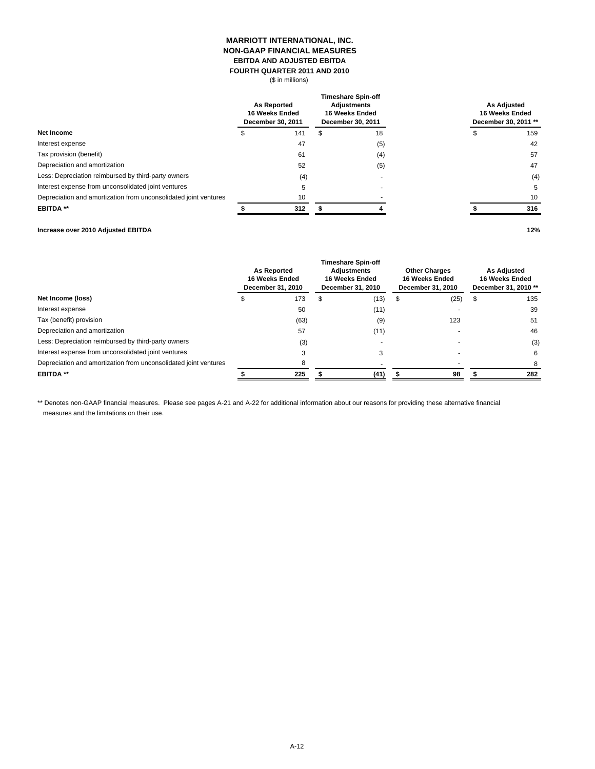### **MARRIOTT INTERNATIONAL, INC. NON-GAAP FINANCIAL MEASURES EBITDA AND ADJUSTED EBITDA FOURTH QUARTER 2011 AND 2010**

(\$ in millions)

|                                                                  |  | <b>As Reported</b><br>16 Weeks Ended<br>December 30, 2011 |  | <b>Timeshare Spin-off</b><br><b>Adjustments</b><br>16 Weeks Ended<br>December 30, 2011 | <b>As Adjusted</b><br>16 Weeks Ended<br>December 30, 2011 ** |     |  |
|------------------------------------------------------------------|--|-----------------------------------------------------------|--|----------------------------------------------------------------------------------------|--------------------------------------------------------------|-----|--|
| Net Income                                                       |  | 141                                                       |  | 18                                                                                     |                                                              | 159 |  |
| Interest expense                                                 |  | 47                                                        |  | (5)                                                                                    |                                                              | 42  |  |
| Tax provision (benefit)                                          |  | 61                                                        |  | (4)                                                                                    |                                                              | 57  |  |
| Depreciation and amortization                                    |  | 52                                                        |  | (5)                                                                                    |                                                              | 47  |  |
| Less: Depreciation reimbursed by third-party owners              |  | (4)                                                       |  |                                                                                        |                                                              | (4) |  |
| Interest expense from unconsolidated joint ventures              |  | 5                                                         |  |                                                                                        |                                                              | 5   |  |
| Depreciation and amortization from unconsolidated joint ventures |  | 10                                                        |  |                                                                                        |                                                              | 10  |  |
| <b>EBITDA**</b>                                                  |  | 312                                                       |  |                                                                                        |                                                              | 316 |  |
|                                                                  |  |                                                           |  |                                                                                        |                                                              |     |  |

## **Increase over 2010 Adjusted EBITDA 12%**

|                                                                  |  | <b>As Reported</b><br>16 Weeks Ended<br>December 31, 2010 |    | <b>Timeshare Spin-off</b><br>Adjustments<br>16 Weeks Ended<br>December 31, 2010 |    | <b>Other Charges</b><br>16 Weeks Ended<br>December 31, 2010 |  | <b>As Adjusted</b><br>16 Weeks Ended<br>December 31, 2010 ** |  |
|------------------------------------------------------------------|--|-----------------------------------------------------------|----|---------------------------------------------------------------------------------|----|-------------------------------------------------------------|--|--------------------------------------------------------------|--|
| Net Income (loss)                                                |  | 173                                                       | эħ | (13)                                                                            | £. | (25)                                                        |  | 135                                                          |  |
| Interest expense                                                 |  | 50                                                        |    | (11)                                                                            |    |                                                             |  | 39                                                           |  |
| Tax (benefit) provision                                          |  | (63)                                                      |    | (9)                                                                             |    | 123                                                         |  | 51                                                           |  |
| Depreciation and amortization                                    |  | 57                                                        |    | (11)                                                                            |    |                                                             |  | 46                                                           |  |
| Less: Depreciation reimbursed by third-party owners              |  | (3)                                                       |    |                                                                                 |    |                                                             |  | (3)                                                          |  |
| Interest expense from unconsolidated joint ventures              |  | 3                                                         |    | 3                                                                               |    |                                                             |  | 6                                                            |  |
| Depreciation and amortization from unconsolidated joint ventures |  | 8                                                         |    |                                                                                 |    |                                                             |  | 8                                                            |  |
| <b>EBITDA**</b>                                                  |  | 225                                                       |    | (41)                                                                            |    | 98                                                          |  | 282                                                          |  |

\*\* Denotes non-GAAP financial measures. Please see pages A-21 and A-22 for additional information about our reasons for providing these alternative financial measures and the limitations on their use.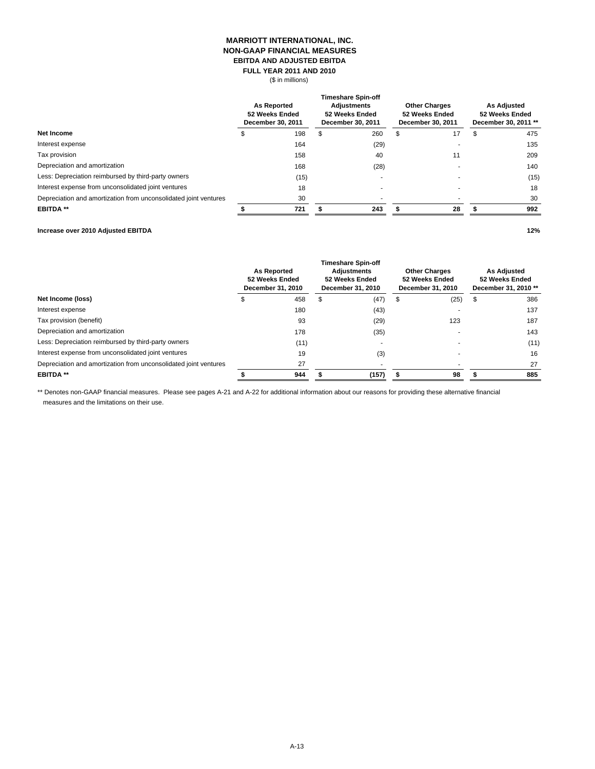#### **MARRIOTT INTERNATIONAL, INC. NON-GAAP FINANCIAL MEASURES FULL YEAR 2011 AND 2010 EBITDA AND ADJUSTED EBITDA**

(\$ in millions)

|                                                                  | <b>As Reported</b><br>52 Weeks Ended<br>December 30, 2011 |      | <b>Timeshare Spin-off</b><br><b>Adjustments</b><br>52 Weeks Ended<br>December 30, 2011 |      | <b>Other Charges</b><br>52 Weeks Ended<br>December 30, 2011 |    | <b>As Adjusted</b><br>52 Weeks Ended<br>December 30, 2011 ** |      |
|------------------------------------------------------------------|-----------------------------------------------------------|------|----------------------------------------------------------------------------------------|------|-------------------------------------------------------------|----|--------------------------------------------------------------|------|
| Net Income                                                       |                                                           | 198  | \$                                                                                     | 260  | \$.                                                         | 17 |                                                              | 475  |
| Interest expense                                                 |                                                           | 164  |                                                                                        | (29) |                                                             |    |                                                              | 135  |
| Tax provision                                                    |                                                           | 158  |                                                                                        | 40   |                                                             | 11 |                                                              | 209  |
| Depreciation and amortization                                    |                                                           | 168  |                                                                                        | (28) |                                                             |    |                                                              | 140  |
| Less: Depreciation reimbursed by third-party owners              |                                                           | (15) |                                                                                        |      |                                                             |    |                                                              | (15) |
| Interest expense from unconsolidated joint ventures              |                                                           | 18   |                                                                                        |      |                                                             |    |                                                              | 18   |
| Depreciation and amortization from unconsolidated joint ventures |                                                           | 30   |                                                                                        |      |                                                             |    |                                                              | 30   |
| <b>EBITDA**</b>                                                  |                                                           | 721  |                                                                                        | 243  |                                                             | 28 |                                                              | 992  |

#### **Increase over 2010 Adjusted EBITDA 12%**

**As Reported 52 Weeks Ended December 31, 2010 Timeshare Spin-off Adjustments 52 Weeks Ended December 31, 2010 Other Charges 52 Weeks Ended December 31, 2010 As Adjusted 52 Weeks Ended December 31, 2010 \*\* Net Income (loss) \$** 458 \$ (47) \$ (25) \$ 386 Interest expense (43) 180 - 137 Tax provision (benefit) (29) 93 123 187 Depreciation and amortization and amortization and amortization control to the control of the control of the control of the control of the control of the control of the control of the control of the control of the control Less: Depreciation reimbursed by third-party owners (11) (11) (11) (11) (11) (11) Interest expense from unconsolidated joint ventures and the state of the state of the state of the state of the state of the state of the state of the state of the state of the state of the state of the state of the state Depreciation and amortization from unconsolidated joint ventures 27 - - 27 **EBITDA \*\* \$ (157) 944 \$ 98 \$ 885 \$** 

\*\* Denotes non-GAAP financial measures. Please see pages A-21 and A-22 for additional information about our reasons for providing these alternative financial measures and the limitations on their use.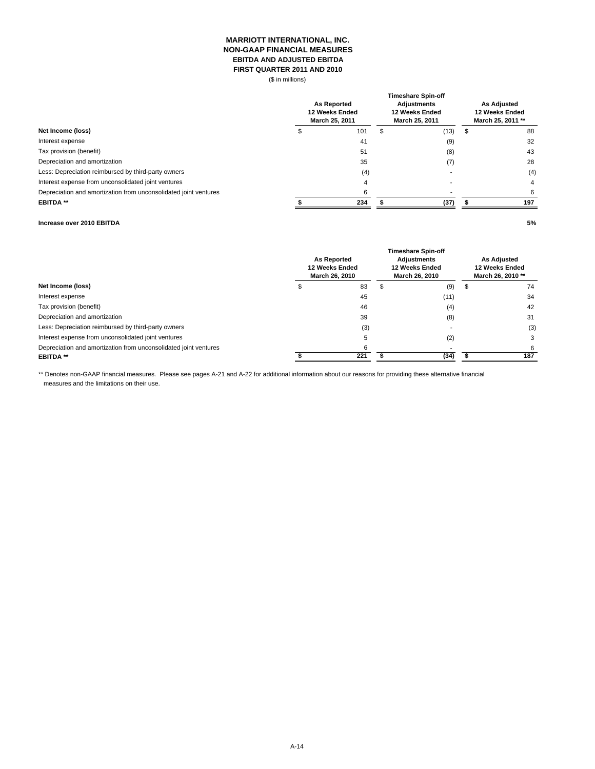### **MARRIOTT INTERNATIONAL, INC. NON-GAAP FINANCIAL MEASURES EBITDA AND ADJUSTED EBITDA FIRST QUARTER 2011 AND 2010**

(\$ in millions)

| Net Income (loss)                                                | <b>As Reported</b><br>12 Weeks Ended<br>March 25, 2011 |     | <b>Timeshare Spin-off</b><br><b>Adiustments</b><br>12 Weeks Ended<br>March 25, 2011 | <b>As Adjusted</b><br>12 Weeks Ended<br>March 25, 2011 ** |   |     |
|------------------------------------------------------------------|--------------------------------------------------------|-----|-------------------------------------------------------------------------------------|-----------------------------------------------------------|---|-----|
|                                                                  |                                                        | 101 | S                                                                                   | (13)                                                      | ъ | 88  |
| Interest expense                                                 |                                                        | 41  |                                                                                     | (9)                                                       |   | 32  |
| Tax provision (benefit)                                          |                                                        | 51  |                                                                                     | (8)                                                       |   | 43  |
| Depreciation and amortization                                    |                                                        | 35  |                                                                                     | (7)                                                       |   | 28  |
| Less: Depreciation reimbursed by third-party owners              |                                                        | (4) |                                                                                     |                                                           |   | (4) |
| Interest expense from unconsolidated joint ventures              |                                                        |     |                                                                                     |                                                           |   | 4   |
| Depreciation and amortization from unconsolidated joint ventures |                                                        |     |                                                                                     |                                                           |   | 6   |
| <b>EBITDA**</b>                                                  |                                                        | 234 |                                                                                     | (37)                                                      |   | 197 |
|                                                                  |                                                        |     |                                                                                     |                                                           |   |     |

#### **Increase over 2010 EBITDA 5%**

| Net Income (loss)                                                | <b>As Reported</b><br>12 Weeks Ended<br>March 26, 2010 | <b>Timeshare Spin-off</b><br><b>Adiustments</b><br>12 Weeks Ended<br>March 26, 2010 | <b>As Adjusted</b><br>12 Weeks Ended<br>March 26, 2010 ** |  |     |
|------------------------------------------------------------------|--------------------------------------------------------|-------------------------------------------------------------------------------------|-----------------------------------------------------------|--|-----|
|                                                                  |                                                        | 83                                                                                  | (9)                                                       |  | 74  |
| Interest expense                                                 |                                                        | 45                                                                                  | (11)                                                      |  | 34  |
| Tax provision (benefit)                                          |                                                        | 46                                                                                  | (4)                                                       |  | 42  |
| Depreciation and amortization                                    |                                                        | 39                                                                                  | (8)                                                       |  | 31  |
| Less: Depreciation reimbursed by third-party owners              |                                                        | (3)                                                                                 |                                                           |  | (3) |
| Interest expense from unconsolidated joint ventures              |                                                        |                                                                                     | (2)                                                       |  |     |
| Depreciation and amortization from unconsolidated joint ventures |                                                        | ี                                                                                   |                                                           |  | 6   |
| <b>EBITDA**</b>                                                  |                                                        | 221                                                                                 | (34)                                                      |  | 187 |

\*\* Denotes non-GAAP financial measures. Please see pages A-21 and A-22 for additional information about our reasons for providing these alternative financial measures and the limitations on their use.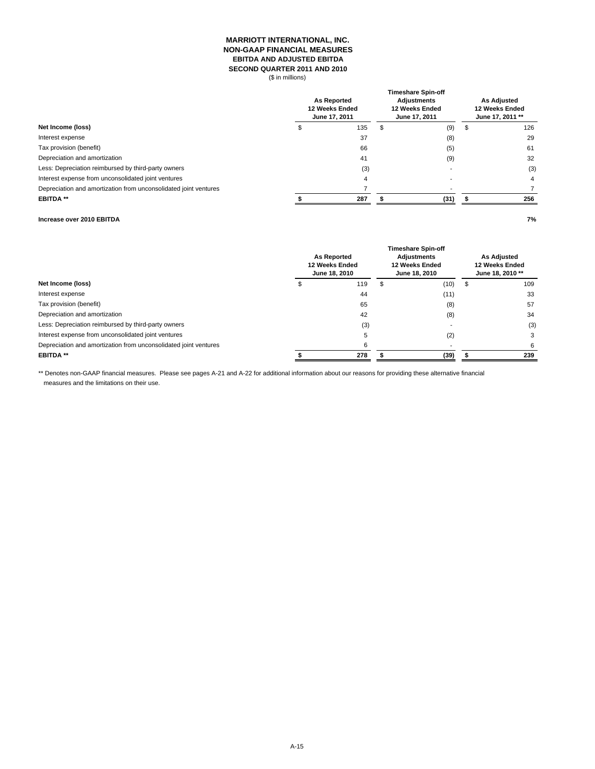### **MARRIOTT INTERNATIONAL, INC. NON-GAAP FINANCIAL MEASURES EBITDA AND ADJUSTED EBITDA SECOND QUARTER 2011 AND 2010**

(\$ in millions)

|                                                                  | <b>As Reported</b><br>12 Weeks Ended<br>June 17, 2011 |     | <b>Timeshare Spin-off</b><br><b>Adjustments</b><br>12 Weeks Ended<br>June 17, 2011 | <b>As Adjusted</b><br>12 Weeks Ended<br>June 17, 2011 ** |   |     |
|------------------------------------------------------------------|-------------------------------------------------------|-----|------------------------------------------------------------------------------------|----------------------------------------------------------|---|-----|
| Net Income (loss)                                                |                                                       | 135 | S                                                                                  | (9)                                                      | Œ | 126 |
| Interest expense                                                 |                                                       | 37  |                                                                                    | (8)                                                      |   | 29  |
| Tax provision (benefit)                                          |                                                       | 66  |                                                                                    | (5)                                                      |   | 61  |
| Depreciation and amortization                                    |                                                       | 41  |                                                                                    | (9)                                                      |   | 32  |
| Less: Depreciation reimbursed by third-party owners              |                                                       | (3) |                                                                                    |                                                          |   | (3) |
| Interest expense from unconsolidated joint ventures              |                                                       | 4   |                                                                                    |                                                          |   | 4   |
| Depreciation and amortization from unconsolidated joint ventures |                                                       |     |                                                                                    |                                                          |   |     |
| <b>EBITDA**</b>                                                  |                                                       | 287 |                                                                                    | (31)                                                     |   | 256 |
|                                                                  |                                                       |     |                                                                                    |                                                          |   |     |

### **Increase over 2010 EBITDA 7%**

|                                                                  | <b>As Reported</b><br>12 Weeks Ended<br>June 18, 2010 |     |   | <b>Timeshare Spin-off</b><br><b>Adiustments</b><br>12 Weeks Ended<br>June 18, 2010 |    | <b>As Adjusted</b><br>12 Weeks Ended<br>June 18, 2010 ** |
|------------------------------------------------------------------|-------------------------------------------------------|-----|---|------------------------------------------------------------------------------------|----|----------------------------------------------------------|
| Net Income (loss)                                                |                                                       | 119 | ъ | (10)                                                                               | 56 | 109                                                      |
| Interest expense                                                 |                                                       | 44  |   | (11)                                                                               |    | 33                                                       |
| Tax provision (benefit)                                          |                                                       | 65  |   | (8)                                                                                |    | 57                                                       |
| Depreciation and amortization                                    |                                                       | 42  |   | (8)                                                                                |    | 34                                                       |
| Less: Depreciation reimbursed by third-party owners              |                                                       | (3) |   |                                                                                    |    | (3)                                                      |
| Interest expense from unconsolidated joint ventures              |                                                       |     |   | (2)                                                                                |    |                                                          |
| Depreciation and amortization from unconsolidated joint ventures |                                                       |     |   |                                                                                    |    | 6                                                        |
| <b>EBITDA**</b>                                                  |                                                       | 278 |   | (39)                                                                               |    | 239                                                      |

\*\* Denotes non-GAAP financial measures. Please see pages A-21 and A-22 for additional information about our reasons for providing these alternative financial measures and the limitations on their use.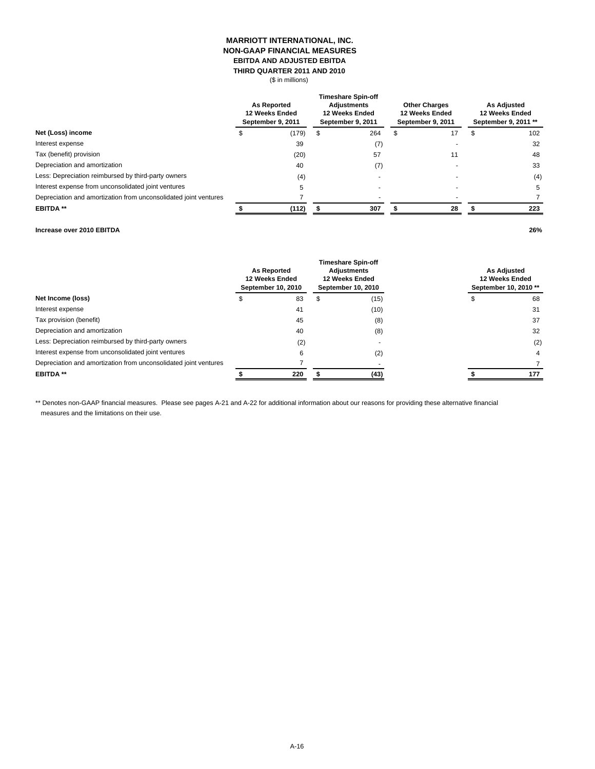### **MARRIOTT INTERNATIONAL, INC. NON-GAAP FINANCIAL MEASURES EBITDA AND ADJUSTED EBITDA THIRD QUARTER 2011 AND 2010**

(\$ in millions)

|                                                                  |  | <b>As Reported</b><br>12 Weeks Ended<br>September 9, 2011 |    | <b>Timeshare Spin-off</b><br><b>Adjustments</b><br>12 Weeks Ended<br>September 9, 2011 |  | <b>Other Charges</b><br>12 Weeks Ended<br>September 9, 2011 | <b>As Adjusted</b><br>12 Weeks Ended<br>September 9, 2011 ** |     |
|------------------------------------------------------------------|--|-----------------------------------------------------------|----|----------------------------------------------------------------------------------------|--|-------------------------------------------------------------|--------------------------------------------------------------|-----|
| Net (Loss) income                                                |  | (179)                                                     | \$ | 264                                                                                    |  | 17                                                          |                                                              | 102 |
| Interest expense                                                 |  | 39                                                        |    | (7)                                                                                    |  |                                                             |                                                              | 32  |
| Tax (benefit) provision                                          |  | (20)                                                      |    | 57                                                                                     |  |                                                             |                                                              | 48  |
| Depreciation and amortization                                    |  | 40                                                        |    | (7)                                                                                    |  |                                                             |                                                              | 33  |
| Less: Depreciation reimbursed by third-party owners              |  | (4)                                                       |    |                                                                                        |  |                                                             |                                                              | (4) |
| Interest expense from unconsolidated joint ventures              |  | G                                                         |    |                                                                                        |  |                                                             |                                                              | 5   |
| Depreciation and amortization from unconsolidated joint ventures |  |                                                           |    |                                                                                        |  |                                                             |                                                              |     |
| <b>EBITDA**</b>                                                  |  | (112)                                                     |    | 307                                                                                    |  | 28                                                          |                                                              | 223 |

# **Increase over 2010 EBITDA 26%**

|                                                                  | <b>As Reported</b><br>12 Weeks Ended<br>September 10, 2010 |     | <b>Timeshare Spin-off</b><br><b>Adiustments</b><br>12 Weeks Ended<br>September 10, 2010 |      | <b>As Adjusted</b><br>12 Weeks Ended<br>September 10, 2010 ** |     |
|------------------------------------------------------------------|------------------------------------------------------------|-----|-----------------------------------------------------------------------------------------|------|---------------------------------------------------------------|-----|
| Net Income (loss)                                                |                                                            | 83  | \$                                                                                      | (15) | ۰,                                                            | 68  |
| Interest expense                                                 |                                                            | 41  |                                                                                         | (10) |                                                               | 31  |
| Tax provision (benefit)                                          |                                                            | 45  |                                                                                         | (8)  |                                                               | 37  |
| Depreciation and amortization                                    |                                                            | 40  |                                                                                         | (8)  |                                                               | 32  |
| Less: Depreciation reimbursed by third-party owners              |                                                            | (2) |                                                                                         |      |                                                               | (2) |
| Interest expense from unconsolidated joint ventures              |                                                            | 6   |                                                                                         | (2)  |                                                               | 4   |
| Depreciation and amortization from unconsolidated joint ventures |                                                            |     |                                                                                         |      |                                                               |     |
| <b>EBITDA**</b>                                                  |                                                            | 220 |                                                                                         | (43) |                                                               | 177 |

\*\* Denotes non-GAAP financial measures. Please see pages A-21 and A-22 for additional information about our reasons for providing these alternative financial measures and the limitations on their use.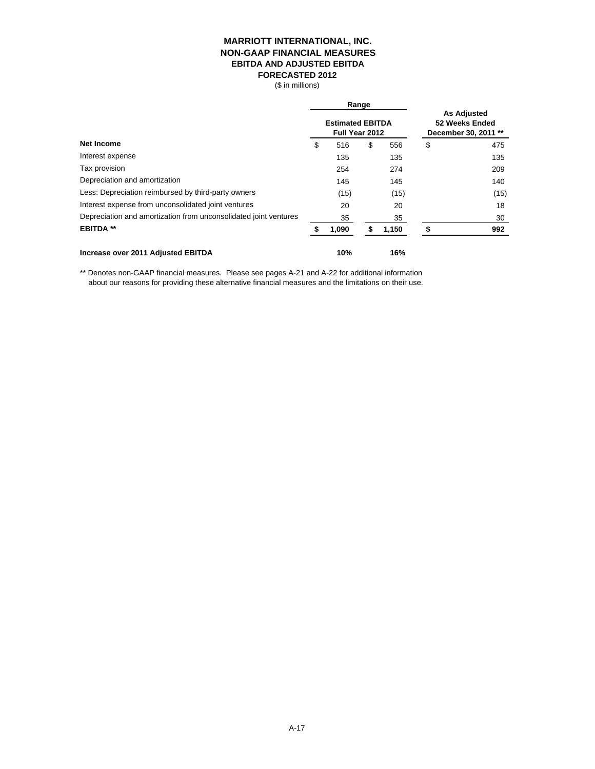# **MARRIOTT INTERNATIONAL, INC. NON-GAAP FINANCIAL MEASURES EBITDA AND ADJUSTED EBITDA FORECASTED 2012**

(\$ in millions)

|                                                                  | Range |                                           |    |       |                                                              |      |  |
|------------------------------------------------------------------|-------|-------------------------------------------|----|-------|--------------------------------------------------------------|------|--|
|                                                                  |       | <b>Estimated EBITDA</b><br>Full Year 2012 |    |       | <b>As Adjusted</b><br>52 Weeks Ended<br>December 30, 2011 ** |      |  |
| Net Income                                                       | \$    | 516                                       | \$ | 556   | \$                                                           | 475  |  |
| Interest expense                                                 |       | 135                                       |    | 135   |                                                              | 135  |  |
| Tax provision                                                    |       | 254                                       |    | 274   |                                                              | 209  |  |
| Depreciation and amortization                                    |       | 145                                       |    | 145   |                                                              | 140  |  |
| Less: Depreciation reimbursed by third-party owners              |       | (15)                                      |    | (15)  |                                                              | (15) |  |
| Interest expense from unconsolidated joint ventures              |       | 20                                        |    | 20    |                                                              | 18   |  |
| Depreciation and amortization from unconsolidated joint ventures |       | 35                                        |    | 35    |                                                              | 30   |  |
| <b>EBITDA **</b>                                                 |       | 1,090                                     | S  | 1,150 |                                                              | 992  |  |
| Increase over 2011 Adjusted EBITDA                               |       | 10%                                       |    | 16%   |                                                              |      |  |

\*\* Denotes non-GAAP financial measures. Please see pages A-21 and A-22 for additional information about our reasons for providing these alternative financial measures and the limitations on their use.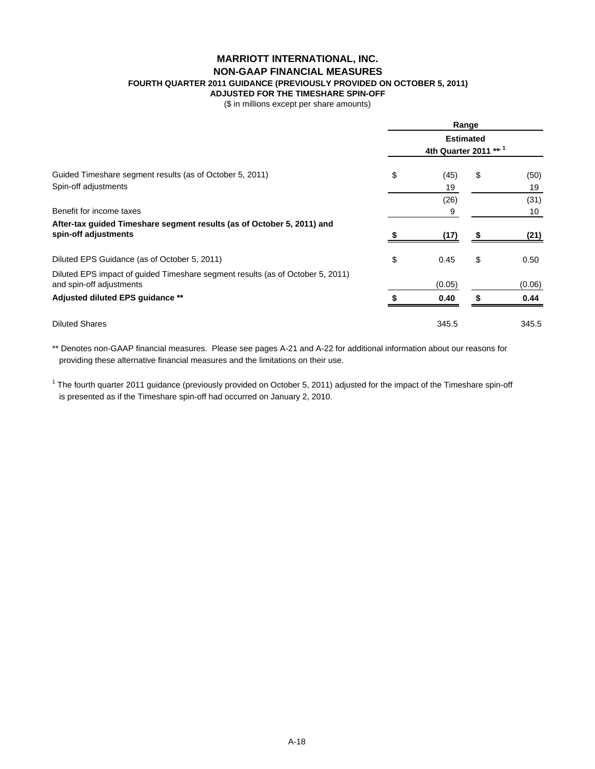# **MARRIOTT INTERNATIONAL, INC. NON-GAAP FINANCIAL MEASURES**

**FOURTH QUARTER 2011 GUIDANCE (PREVIOUSLY PROVIDED ON OCTOBER 5, 2011)**

**ADJUSTED FOR THE TIMESHARE SPIN-OFF**

(\$ in millions except per share amounts)

|                                                                                                            |                                            |        | Range |        |  |  |  |
|------------------------------------------------------------------------------------------------------------|--------------------------------------------|--------|-------|--------|--|--|--|
|                                                                                                            | <b>Estimated</b><br>4th Quarter 2011 *** 1 |        |       |        |  |  |  |
| Guided Timeshare segment results (as of October 5, 2011)                                                   | \$                                         | (45)   | \$    | (50)   |  |  |  |
| Spin-off adjustments                                                                                       |                                            | 19     |       | 19     |  |  |  |
|                                                                                                            |                                            | (26)   |       | (31)   |  |  |  |
| Benefit for income taxes                                                                                   |                                            | 9      |       | 10     |  |  |  |
| After-tax guided Timeshare segment results (as of October 5, 2011) and<br>spin-off adjustments             |                                            | (17)   |       | (21)   |  |  |  |
| Diluted EPS Guidance (as of October 5, 2011)                                                               | \$                                         | 0.45   | \$    | 0.50   |  |  |  |
| Diluted EPS impact of guided Timeshare segment results (as of October 5, 2011)<br>and spin-off adjustments |                                            | (0.05) |       | (0.06) |  |  |  |
| Adjusted diluted EPS guidance **                                                                           |                                            | 0.40   |       | 0.44   |  |  |  |
| <b>Diluted Shares</b>                                                                                      |                                            | 345.5  |       | 345.5  |  |  |  |

\*\* Denotes non-GAAP financial measures. Please see pages A-21 and A-22 for additional information about our reasons for providing these alternative financial measures and the limitations on their use.

<sup>1</sup> The fourth quarter 2011 guidance (previously provided on October 5, 2011) adjusted for the impact of the Timeshare spin-off is presented as if the Timeshare spin-off had occurred on January 2, 2010.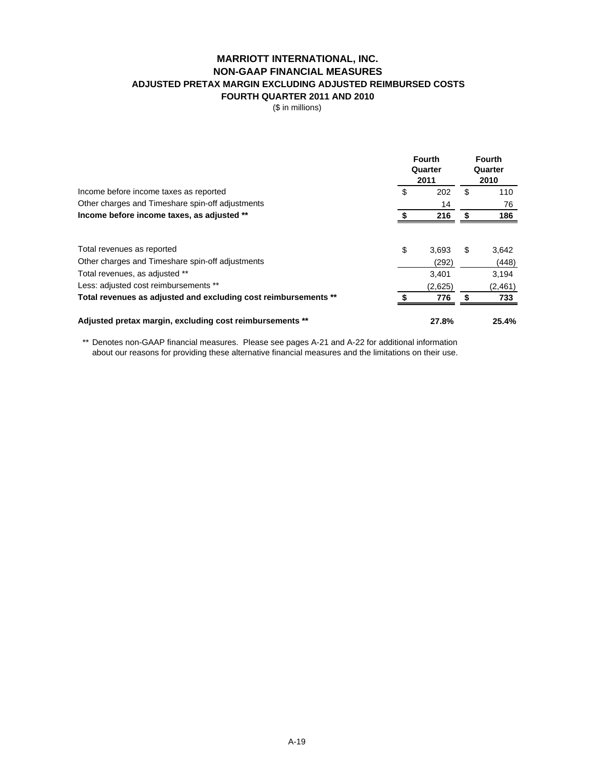# **MARRIOTT INTERNATIONAL, INC. NON-GAAP FINANCIAL MEASURES ADJUSTED PRETAX MARGIN EXCLUDING ADJUSTED REIMBURSED COSTS FOURTH QUARTER 2011 AND 2010**

(\$ in millions)

| Income before income taxes as reported                          | <b>Fourth</b><br>Quarter<br>2011 |         | <b>Fourth</b><br>Quarter<br>2010 |         |
|-----------------------------------------------------------------|----------------------------------|---------|----------------------------------|---------|
|                                                                 | S                                | 202     | \$                               | 110     |
| Other charges and Timeshare spin-off adjustments                |                                  | 14      |                                  | 76      |
| Income before income taxes, as adjusted **                      |                                  | 216     | \$                               | 186     |
| Total revenues as reported                                      | \$                               | 3.693   | \$                               | 3,642   |
| Other charges and Timeshare spin-off adjustments                |                                  | (292)   |                                  | (448)   |
| Total revenues, as adjusted **                                  |                                  | 3.401   |                                  | 3.194   |
| Less: adjusted cost reimbursements **                           |                                  | (2,625) |                                  | (2,461) |
| Total revenues as adjusted and excluding cost reimbursements ** |                                  | 776     |                                  | 733     |
| Adjusted pretax margin, excluding cost reimbursements **        |                                  | 27.8%   |                                  | 25.4%   |

\*\* Denotes non-GAAP financial measures. Please see pages A-21 and A-22 for additional information about our reasons for providing these alternative financial measures and the limitations on their use.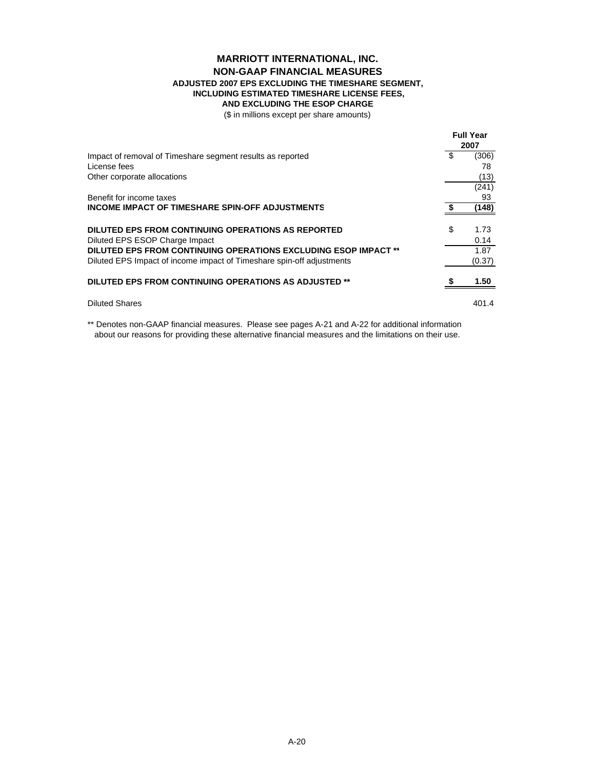# **MARRIOTT INTERNATIONAL, INC. NON-GAAP FINANCIAL MEASURES ADJUSTED 2007 EPS EXCLUDING THE TIMESHARE SEGMENT, INCLUDING ESTIMATED TIMESHARE LICENSE FEES,**

**AND EXCLUDING THE ESOP CHARGE**

(\$ in millions except per share amounts)

|                                                                       |    | <b>Full Year</b><br>2007 |  |
|-----------------------------------------------------------------------|----|--------------------------|--|
| Impact of removal of Timeshare segment results as reported            | \$ | (306)                    |  |
| License fees                                                          |    | 78                       |  |
| Other corporate allocations                                           |    | (13)                     |  |
|                                                                       |    | (241)                    |  |
| Benefit for income taxes                                              |    | 93                       |  |
| <b>INCOME IMPACT OF TIMESHARE SPIN-OFF ADJUSTMENTS</b>                |    | (148)                    |  |
| DILUTED EPS FROM CONTINUING OPERATIONS AS REPORTED                    | \$ | 1.73                     |  |
| Diluted EPS ESOP Charge Impact                                        |    | 0.14                     |  |
| DILUTED EPS FROM CONTINUING OPERATIONS EXCLUDING ESOP IMPACT **       |    | 1.87                     |  |
| Diluted EPS Impact of income impact of Timeshare spin-off adjustments |    | (0.37)                   |  |
| DILUTED EPS FROM CONTINUING OPERATIONS AS ADJUSTED **                 |    | 1.50                     |  |
| <b>Diluted Shares</b>                                                 |    | 401.4                    |  |

\*\* Denotes non-GAAP financial measures. Please see pages A-21 and A-22 for additional information about our reasons for providing these alternative financial measures and the limitations on their use.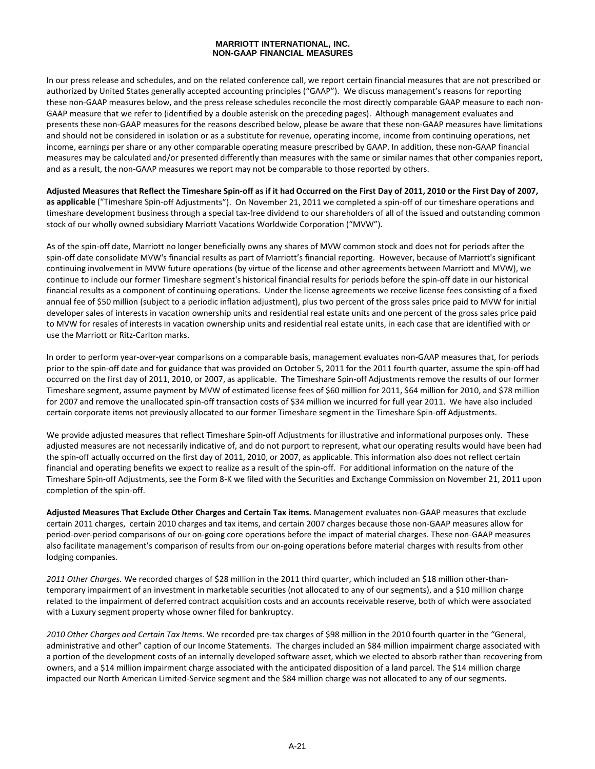### **MARRIOTT INTERNATIONAL, INC. NON-GAAP FINANCIAL MEASURES**

In our press release and schedules, and on the related conference call, we report certain financial measures that are not prescribed or authorized by United States generally accepted accounting principles ("GAAP"). We discuss management's reasons for reporting these non-GAAP measures below, and the press release schedules reconcile the most directly comparable GAAP measure to each non-GAAP measure that we refer to (identified by a double asterisk on the preceding pages). Although management evaluates and presents these non‐GAAP measures for the reasons described below, please be aware that these non‐GAAP measures have limitations and should not be considered in isolation or as a substitute for revenue, operating income, income from continuing operations, net income, earnings per share or any other comparable operating measure prescribed by GAAP. In addition, these non‐GAAP financial measures may be calculated and/or presented differently than measures with the same or similar names that other companies report, and as a result, the non‐GAAP measures we report may not be comparable to those reported by others.

Adjusted Measures that Reflect the Timeshare Spin-off as if it had Occurred on the First Day of 2011, 2010 or the First Day of 2007, **as applicable** ("Timeshare Spin‐off Adjustments"). On November 21, 2011 we completed a spin‐off of our timeshare operations and timeshare development business through a special tax-free dividend to our shareholders of all of the issued and outstanding common stock of our wholly owned subsidiary Marriott Vacations Worldwide Corporation ("MVW").

As of the spin-off date, Marriott no longer beneficially owns any shares of MVW common stock and does not for periods after the spin‐off date consolidate MVW's financial results as part of Marriott's financial reporting. However, because of Marriott's significant continuing involvement in MVW future operations (by virtue of the license and other agreements between Marriott and MVW), we continue to include our former Timeshare segment's historical financial results for periods before the spin‐off date in our historical financial results as a component of continuing operations. Under the license agreements we receive license fees consisting of a fixed annual fee of \$50 million (subject to a periodic inflation adjustment), plus two percent of the gross sales price paid to MVW for initial developer sales of interests in vacation ownership units and residential real estate units and one percent of the gross sales price paid to MVW for resales of interests in vacation ownership units and residential real estate units, in each case that are identified with or use the Marriott or Ritz‐Carlton marks.

In order to perform year‐over‐year comparisons on a comparable basis, management evaluates non‐GAAP measures that, for periods prior to the spin-off date and for guidance that was provided on October 5, 2011 for the 2011 fourth quarter, assume the spin-off had occurred on the first day of 2011, 2010, or 2007, as applicable. The Timeshare Spin‐off Adjustments remove the results of our former Timeshare segment, assume payment by MVW of estimated license fees of \$60 million for 2011, \$64 million for 2010, and \$78 million for 2007 and remove the unallocated spin‐off transaction costs of \$34 million we incurred for full year 2011. We have also included certain corporate items not previously allocated to our former Timeshare segment in the Timeshare Spin‐off Adjustments.

We provide adjusted measures that reflect Timeshare Spin-off Adjustments for illustrative and informational purposes only. These adjusted measures are not necessarily indicative of, and do not purport to represent, what our operating results would have been had the spin‐off actually occurred on the first day of 2011, 2010, or 2007, as applicable. This information also does not reflect certain financial and operating benefits we expect to realize as a result of the spin-off. For additional information on the nature of the Timeshare Spin‐off Adjustments, see the Form 8‐K we filed with the Securities and Exchange Commission on November 21, 2011 upon completion of the spin‐off.

**Adjusted Measures That Exclude Other Charges and Certain Tax items.** Management evaluates non‐GAAP measures that exclude certain 2011 charges, certain 2010 charges and tax items, and certain 2007 charges because those non‐GAAP measures allow for period‐over‐period comparisons of our on‐going core operations before the impact of material charges. These non‐GAAP measures also facilitate management's comparison of results from our on‐going operations before material charges with results from other lodging companies.

*2011 Other Charges.* We recorded charges of \$28 million in the 2011 third quarter, which included an \$18 million other‐than‐ temporary impairment of an investment in marketable securities (not allocated to any of our segments), and a \$10 million charge related to the impairment of deferred contract acquisition costs and an accounts receivable reserve, both of which were associated with a Luxury segment property whose owner filed for bankruptcy.

*2010 Other Charges and Certain Tax Items*. We recorded pre‐tax charges of \$98 million in the 2010 fourth quarter in the "General, administrative and other" caption of our Income Statements. The charges included an \$84 million impairment charge associated with a portion of the development costs of an internally developed software asset, which we elected to absorb rather than recovering from owners, and a \$14 million impairment charge associated with the anticipated disposition of a land parcel. The \$14 million charge impacted our North American Limited‐Service segment and the \$84 million charge was not allocated to any of our segments.